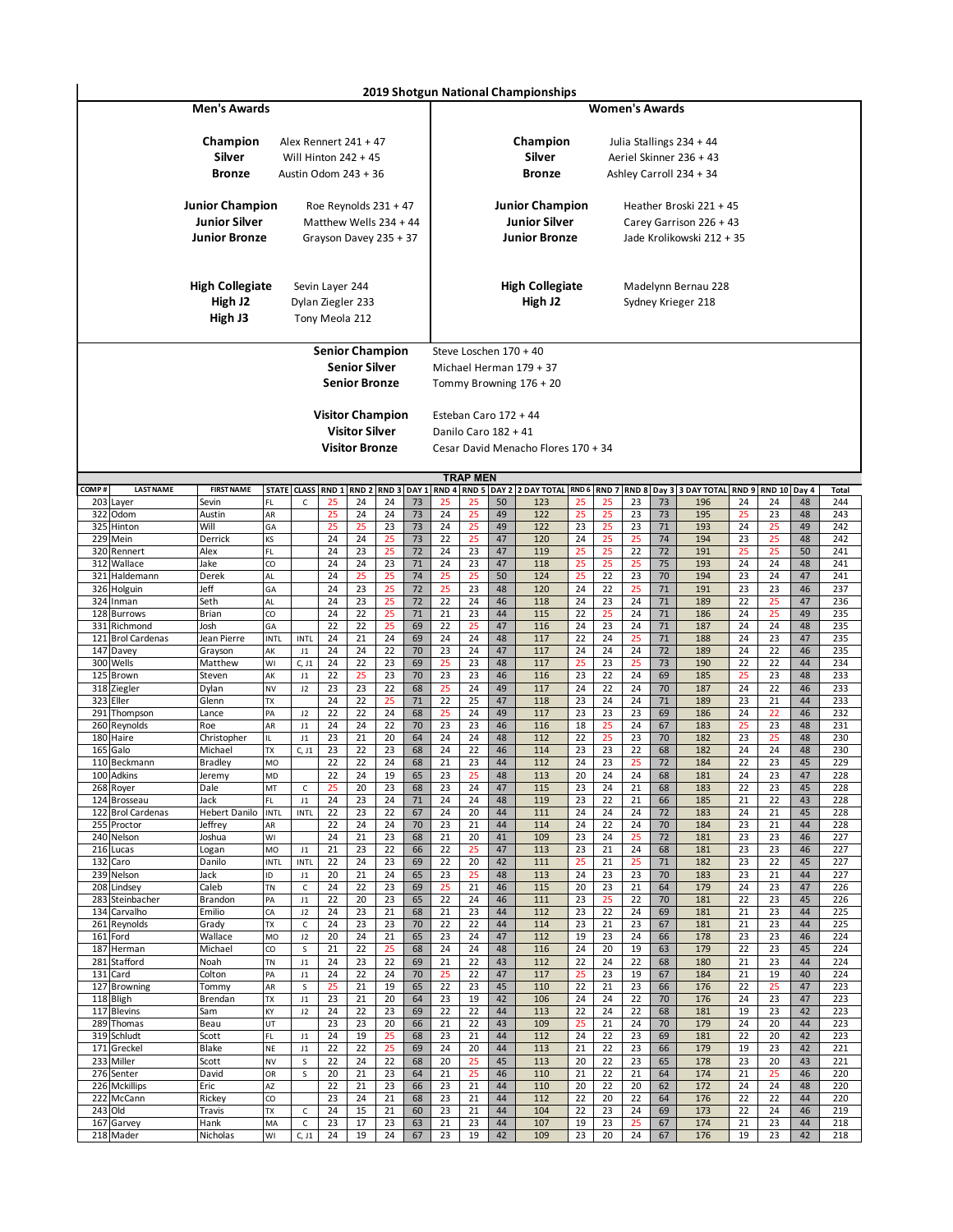|            |                                |                                                                        |                   |                                    |                                   |                                                                             |                  |          |             |                       |          | 2019 Shotgun National Championships                                    |          |                       |          |              |                                                                                 |          |          |          |            |
|------------|--------------------------------|------------------------------------------------------------------------|-------------------|------------------------------------|-----------------------------------|-----------------------------------------------------------------------------|------------------|----------|-------------|-----------------------|----------|------------------------------------------------------------------------|----------|-----------------------|----------|--------------|---------------------------------------------------------------------------------|----------|----------|----------|------------|
|            |                                | <b>Men's Awards</b>                                                    |                   |                                    |                                   |                                                                             |                  |          |             |                       |          |                                                                        |          | <b>Women's Awards</b> |          |              |                                                                                 |          |          |          |            |
|            |                                | Champion<br>Silver<br><b>Bronze</b>                                    |                   |                                    |                                   | Alex Rennert 241 + 47<br>Will Hinton $242 + 45$<br>Austin Odom 243 + 36     |                  |          |             |                       |          | Champion<br>Silver<br><b>Bronze</b>                                    |          |                       |          |              | Julia Stallings 234 + 44<br>Aeriel Skinner 236 + 43<br>Ashley Carroll 234 + 34  |          |          |          |            |
|            |                                | <b>Junior Champion</b><br><b>Junior Silver</b><br><b>Junior Bronze</b> |                   |                                    |                                   | Roe Reynolds $231 + 47$<br>Matthew Wells 234 + 44<br>Grayson Davey 235 + 37 |                  |          |             |                       |          | <b>Junior Champion</b><br><b>Junior Silver</b><br><b>Junior Bronze</b> |          |                       |          |              | Heather Broski 221 + 45<br>Carey Garrison 226 + 43<br>Jade Krolikowski 212 + 35 |          |          |          |            |
|            |                                | <b>High Collegiate</b><br>High J2<br>High J3                           |                   |                                    | Sevin Layer 244<br>Tony Meola 212 | Dylan Ziegler 233                                                           |                  |          |             |                       |          | <b>High Collegiate</b><br>High J2                                      |          |                       |          |              | Madelynn Bernau 228<br>Sydney Krieger 218                                       |          |          |          |            |
|            |                                |                                                                        |                   |                                    |                                   | <b>Senior Champion</b>                                                      |                  |          |             |                       |          | Steve Loschen 170 + 40                                                 |          |                       |          |              |                                                                                 |          |          |          |            |
|            |                                |                                                                        |                   |                                    |                                   | <b>Senior Silver</b>                                                        |                  |          |             |                       |          | Michael Herman 179 + 37                                                |          |                       |          |              |                                                                                 |          |          |          |            |
|            |                                |                                                                        |                   |                                    |                                   | <b>Senior Bronze</b>                                                        |                  |          |             |                       |          | Tommy Browning 176 + 20                                                |          |                       |          |              |                                                                                 |          |          |          |            |
|            |                                |                                                                        |                   |                                    |                                   |                                                                             |                  |          |             |                       |          |                                                                        |          |                       |          |              |                                                                                 |          |          |          |            |
|            |                                |                                                                        |                   |                                    |                                   | <b>Visitor Champion</b>                                                     |                  |          |             | Esteban Caro 172 + 44 |          |                                                                        |          |                       |          |              |                                                                                 |          |          |          |            |
|            |                                |                                                                        |                   |                                    |                                   | <b>Visitor Silver</b>                                                       |                  |          |             | Danilo Caro 182 + 41  |          |                                                                        |          |                       |          |              |                                                                                 |          |          |          |            |
|            |                                |                                                                        |                   |                                    |                                   | <b>Visitor Bronze</b>                                                       |                  |          |             |                       |          | Cesar David Menacho Flores 170 + 34                                    |          |                       |          |              |                                                                                 |          |          |          |            |
|            |                                |                                                                        |                   |                                    |                                   |                                                                             |                  |          |             |                       |          |                                                                        |          |                       |          |              |                                                                                 |          |          |          |            |
| COMP#      | <b>LAST NAME</b>               | <b>FIRST NAME</b>                                                      | <b>STATE</b>      | <b>CLASS</b>                       |                                   | RND 1 RND 2                                                                 | RND <sub>3</sub> |          | DAY 1 RND 4 | <b>TRAP MEN</b>       |          | RND 5 DAY 2 2 DAY TOTAL RND 6                                          |          | RND <sub>7</sub>      |          |              | RND 8 Day 3 3 DAY TOTAL RND 9 RND 10 Day 4                                      |          |          |          | Total      |
|            | 203 Layer                      | Sevin                                                                  | FL                | c                                  | 25                                | 24                                                                          | 24               | 73       | 25          | 25                    | 50       | 123                                                                    | 25       | 25                    | 23       | 73           | 196                                                                             | 24       | 24       | 48       | 244        |
| 322        | Odom                           | Austin                                                                 | AR                |                                    | 25                                | 24                                                                          | 24               | 73       | 24          | 25                    | 49       | 122                                                                    | 25       | 25                    | 23       | 73           | 195                                                                             | 25       | 23       | 48       | 243        |
|            | 325 Hinton<br>229 Mein         | Will<br>Derrick                                                        | GA<br>KS          |                                    | 25<br>24                          | 25<br>24                                                                    | 23<br>25         | 73<br>73 | 24<br>22    | 25<br>25              | 49<br>47 | 122<br>120                                                             | 23<br>24 | 25<br>25              | 23<br>25 | $71\,$<br>74 | 193<br>194                                                                      | 24<br>23 | 25<br>25 | 49<br>48 | 242<br>242 |
|            | 320 Rennert                    | Alex                                                                   | FL                |                                    | 24                                | 23                                                                          | 25               | 72       | 24          | 23                    | 47       | 119                                                                    | 25       | 25                    | 22       | 72           | 191                                                                             | 25       | 25       | 50       | 241        |
|            | 312 Wallace                    | Jake                                                                   | CO                |                                    | 24                                | 24                                                                          | 23               | $71\,$   | 24          | 23                    | 47       | 118                                                                    | 25       | 25                    | 25       | 75           | 193                                                                             | 24       | 24       | 48       | 241        |
|            | 321 Haldemann                  | Derek                                                                  | AL                |                                    | 24                                | 25                                                                          | 25               | 74       | 25          | 25                    | 50       | 124                                                                    | 25       | 22                    | 23       | 70           | 194                                                                             | 23       | 24       | 47       | 241        |
|            | 326 Holguin<br>324 Inman       | Jeff<br>Seth                                                           | GA<br>AL          |                                    | 24<br>24                          | 23<br>23                                                                    | 25<br>25         | 72<br>72 | 25<br>22    | 23<br>24              | 48<br>46 | 120<br>118                                                             | 24<br>24 | 22<br>23              | 25<br>24 | 71<br>71     | 191<br>189                                                                      | 23<br>22 | 23<br>25 | 46<br>47 | 237<br>236 |
|            | 128 Burrows                    | Brian                                                                  | CO                |                                    | 24                                | 22                                                                          | 25               | 71       | 21          | 23                    | 44       | 115                                                                    | 22       | 25                    | 24       | 71           | 186                                                                             | 24       | 25       | 49       | 235        |
|            | 331 Richmond                   | Josh                                                                   | GA                |                                    | 22                                | 22                                                                          | 25               | 69       | 22          | 25                    | 47       | 116                                                                    | 24       | 23                    | 24       | $71\,$       | 187                                                                             | 24       | 24       | 48       | 235        |
|            | 121 Brol Cardenas<br>147 Davey | Jean Pierre<br>Grayson                                                 | <b>INTL</b><br>AK | <b>INTL</b><br>J1                  | 24<br>24                          | 21<br>24                                                                    | 24<br>22         | 69<br>70 | 24<br>23    | 24<br>24              | 48<br>47 | 117<br>117                                                             | 22<br>24 | 24<br>24              | 25<br>24 | 71<br>72     | 188<br>189                                                                      | 24<br>24 | 23<br>22 | 47<br>46 | 235<br>235 |
|            | 300 Wells                      | Matthew                                                                | WI                | C, J1                              | 24                                | 22                                                                          | 23               | 69       | 25          | 23                    | 48       | 117                                                                    | 25       | 23                    | 25       | 73           | 190                                                                             | 22       | 22       | 44       | 234        |
|            | 125 Brown                      | Steven                                                                 | AK                | J1                                 | 22                                | 25                                                                          | 23               | 70       | 23          | 23                    | 46       | 116                                                                    | 23       | 22                    | 24       | 69           | 185                                                                             | 25       | 23       | 48       | 233        |
|            | 318 Ziegler<br>323 Eller       | Dylan<br>Glenn                                                         | NV<br>TX          | J2                                 | 23<br>24                          | 23<br>22                                                                    | 22<br>25         | 68<br>71 | 25<br>22    | 24<br>25              | 49<br>47 | 117<br>118                                                             | 24<br>23 | 22<br>24              | 24<br>24 | 70<br>$71\,$ | 187<br>189                                                                      | 24<br>23 | 22<br>21 | 46<br>44 | 233<br>233 |
|            | 291 Thompson                   | Lance                                                                  | PA                | J2                                 | 22                                | 22                                                                          | 24               | 68       | 25          | 24                    | 49       | 117                                                                    | 23       | 23                    | 23       | 69           | 186                                                                             | 24       | 22       | 46       | 232        |
|            | 260 Reynolds                   | Roe                                                                    | AR                | J1                                 | 24                                | 24                                                                          | 22               | 70       | 23          | 23                    | 46       | 116                                                                    | 18       | 25                    | 24       | 67           | 183                                                                             | 25       | 23       | 48       | 231        |
|            | 180 Haire<br>165 Galo          | Christopher<br>Michael                                                 | IL<br>TX          | J1<br>C, J1                        | 23<br>23                          | 21<br>22                                                                    | 20<br>23         | 64<br>68 | 24<br>24    | 24<br>$\overline{22}$ | 48<br>46 | 112<br>114                                                             | 22<br>23 | 25<br>23              | 23<br>22 | 70<br>68     | 182<br>182                                                                      | 23<br>24 | 25<br>24 | 48<br>48 | 230<br>230 |
|            | 110 Beckmann                   | <b>Bradley</b>                                                         | MO                |                                    | 22                                | 22                                                                          | 24               | 68       | 21          | 23                    | 44       | 112                                                                    | 24       | 23                    | 25       | 72           | 184                                                                             | 22       | 23       | 45       | 229        |
|            | 100 Adkins                     | Jeremy                                                                 | MD                |                                    | 22                                | 24                                                                          | 19               | 65       | 23          | 25                    | 48       | 113                                                                    | 20       | 24                    | 24       | 68           | 181                                                                             | 24       | 23       | 47       | 228        |
|            | 268 Royer<br>124 Brosseau      | Dale<br>Jack                                                           | MT<br>FL          | С<br>J1                            | 25<br>24                          | 20<br>23                                                                    | 23<br>24         | 68<br>71 | 23<br>24    | 24<br>24              | 47<br>48 | 115<br>119                                                             | 23<br>23 | 24<br>22              | 21<br>21 | 68<br>66     | 183<br>185                                                                      | 22<br>21 | 23<br>22 | 45<br>43 | 228<br>228 |
| 122        | <b>Brol Cardenas</b>           | <b>Hebert Danilo</b>                                                   | <b>INTL</b>       | <b>INTL</b>                        | 22                                | 23                                                                          | 22               | 67       | 24          | 20                    | 44       | 111                                                                    | 24       | 24                    | 24       | 72           | 183                                                                             | 24       | 21       | 45       | 228        |
|            | 255 Proctor                    | Jeffrey                                                                | AR                |                                    | 22                                | 24                                                                          | 24               | 70       | 23          | 21                    | 44       | 114                                                                    | 24       | 22                    | 24       | 70           | 184                                                                             | 23       | 21       | 44       | 228        |
|            | 240 Nelson<br>216 Lucas        | Joshua<br>Logan                                                        | WI<br>MO          | $_{\textrm{\scriptsize{J1}}}$      | 24<br>21                          | 21<br>23                                                                    | 23<br>22         | 68<br>66 | 21<br>22    | 20<br>25              | 41<br>47 | 109<br>113                                                             | 23<br>23 | 24<br>21              | 25<br>24 | 72<br>68     | 181<br>181                                                                      | 23<br>23 | 23<br>23 | 46<br>46 | 227<br>227 |
| 132        | Caro                           | Danilo                                                                 | INTL              | INTL                               | 22                                | 24                                                                          | 23               | 69       | 22          | 20                    | 42       | 111                                                                    | 25       | 21                    | 25       | 71           | 182                                                                             | 23       | 22       | 45       | 227        |
|            | 239 Nelson                     | Jack                                                                   | ID                | J1                                 | 20                                | 21                                                                          | 24               | 65       | 23          | 25                    | 48       | 113                                                                    | 24       | 23                    | 23       | 70           | 183                                                                             | 23       | 21       | 44       | 227        |
| 283        | 208 Lindsey<br>Steinbacher     | Caleb<br>Brandon                                                       | TN<br>PA          | $\mathsf{C}$<br>J1                 | 24<br>22                          | 22<br>20                                                                    | 23<br>23         | 69<br>65 | 25<br>22    | 21<br>24              | 46<br>46 | 115<br>111                                                             | 20<br>23 | 23<br>25              | 21<br>22 | 64<br>70     | 179<br>181                                                                      | 24<br>22 | 23<br>23 | 47<br>45 | 226<br>226 |
|            | 134 Carvalho                   | Emilio                                                                 | CA                | J2                                 | 24                                | 23                                                                          | 21               | 68       | 21          | 23                    | 44       | 112                                                                    | 23       | 22                    | 24       | 69           | 181                                                                             | 21       | 23       | 44       | 225        |
|            | 261 Reynolds                   | Grady                                                                  | TX                | $\mathsf C$                        | 24                                | 23                                                                          | 23               | 70       | 22          | 22                    | 44       | 114                                                                    | 23       | 21                    | 23       | 67           | 181                                                                             | 21       | 23       | 44       | 225        |
| 161<br>187 | Ford<br>Herman                 | Wallace<br>Michael                                                     | MO<br>CO          | J2<br>S                            | 20<br>21                          | 24<br>22                                                                    | 21<br>25         | 65<br>68 | 23<br>24    | 24<br>24              | 47<br>48 | 112<br>116                                                             | 19<br>24 | 23<br>20              | 24<br>19 | 66<br>63     | 178<br>179                                                                      | 23<br>22 | 23<br>23 | 46<br>45 | 224<br>224 |
|            | 281 Stafford                   | Noah                                                                   | TN                | $_{\textrm{\scriptsize{J1}}}$      | 24                                | 23                                                                          | 22               | 69       | 21          | 22                    | 43       | 112                                                                    | 22       | 24                    | 22       | 68           | 180                                                                             | 21       | 23       | 44       | 224        |
| 131        | Card                           | Colton                                                                 | PA                | J1                                 | 24                                | 22                                                                          | 24               | 70       | 25          | 22                    | 47       | 117                                                                    | 25       | 23                    | 19       | 67           | 184                                                                             | 21       | 19       | 40       | 224        |
| 127        | <b>Browning</b><br>118 Bligh   | Tommy<br>Brendan                                                       | AR<br>TX          | S<br>$_{\textrm{\scriptsize{J1}}}$ | 25<br>23                          | 21<br>21                                                                    | 19<br>20         | 65<br>64 | 22<br>23    | 23<br>19              | 45<br>42 | 110<br>106                                                             | 22<br>24 | 21<br>24              | 23<br>22 | 66<br>70     | 176<br>176                                                                      | 22<br>24 | 25<br>23 | 47<br>47 | 223<br>223 |
| 117        | <b>Blevins</b>                 | Sam                                                                    | KY                | J2                                 | 24                                | 22                                                                          | 23               | 69       | 22          | 22                    | 44       | 113                                                                    | 22       | 24                    | 22       | 68           | 181                                                                             | 19       | 23       | 42       | 223        |
|            | 289 Thomas                     | Beau                                                                   | UT                |                                    | 23                                | 23                                                                          | 20               | 66       | 21          | 22                    | 43       | 109                                                                    | 25       | 21                    | 24       | 70           | 179                                                                             | 24       | 20       | 44       | 223        |
|            | 319 Schludt                    | Scott                                                                  | FL                | $_{\textrm{\scriptsize{J1}}}$      | 24                                | 19                                                                          | 25               | 68       | 23          | 21                    | 44       | 112                                                                    | 24       | 22                    | 23       | 69           | 181                                                                             | 22       | 20       | 42       | 223        |
|            | 171 Greckel<br>233 Miller      | Blake<br>Scott                                                         | NE<br>NV          | J1<br>S                            | 22<br>22                          | 22<br>24                                                                    | 25<br>22         | 69<br>68 | 24<br>20    | 20<br>25              | 44<br>45 | 113<br>113                                                             | 21<br>20 | 22<br>22              | 23<br>23 | 66<br>65     | 179<br>178                                                                      | 19<br>23 | 23<br>20 | 42<br>43 | 221<br>221 |
|            | 276 Senter                     | David                                                                  | OR                | S                                  | 20                                | 21                                                                          | 23               | 64       | 21          | 25                    | 46       | 110                                                                    | 21       | 22                    | 21       | 64           | 174                                                                             | 21       | 25       | 46       | 220        |
|            | 226 Mckillips                  | Eric                                                                   | AZ                |                                    | 22                                | 21                                                                          | 23               | 66       | 23          | 21                    | 44       | 110                                                                    | 20       | 22                    | 20       | 62           | 172                                                                             | 24       | 24       | 48       | 220        |
|            | 222 McCann<br>243 Old          | Rickey<br>Travis                                                       | CO<br>TX          | c                                  | 23<br>24                          | 24<br>15                                                                    | 21<br>21         | 68<br>60 | 23<br>23    | 21<br>21              | 44<br>44 | 112<br>104                                                             | 22<br>22 | 20<br>23              | 22<br>24 | 64<br>69     | 176<br>173                                                                      | 22<br>22 | 22<br>24 | 44<br>46 | 220<br>219 |
| 167        | Garvey                         | Hank                                                                   | MA                | c                                  | 23                                | 17                                                                          | 23               | 63       | 21          | 23                    | 44       | 107                                                                    | 19       | 23                    | 25       | 67           | 174                                                                             | 21       | 23       | 44       | 218        |
|            | 218 Mader                      | Nicholas                                                               | WI                | C, J1                              | 24                                | 19                                                                          | 24               | 67       | 23          | 19                    | 42       | 109                                                                    | 23       | 20                    | 24       | 67           | 176                                                                             | 19       | 23       | 42       | 218        |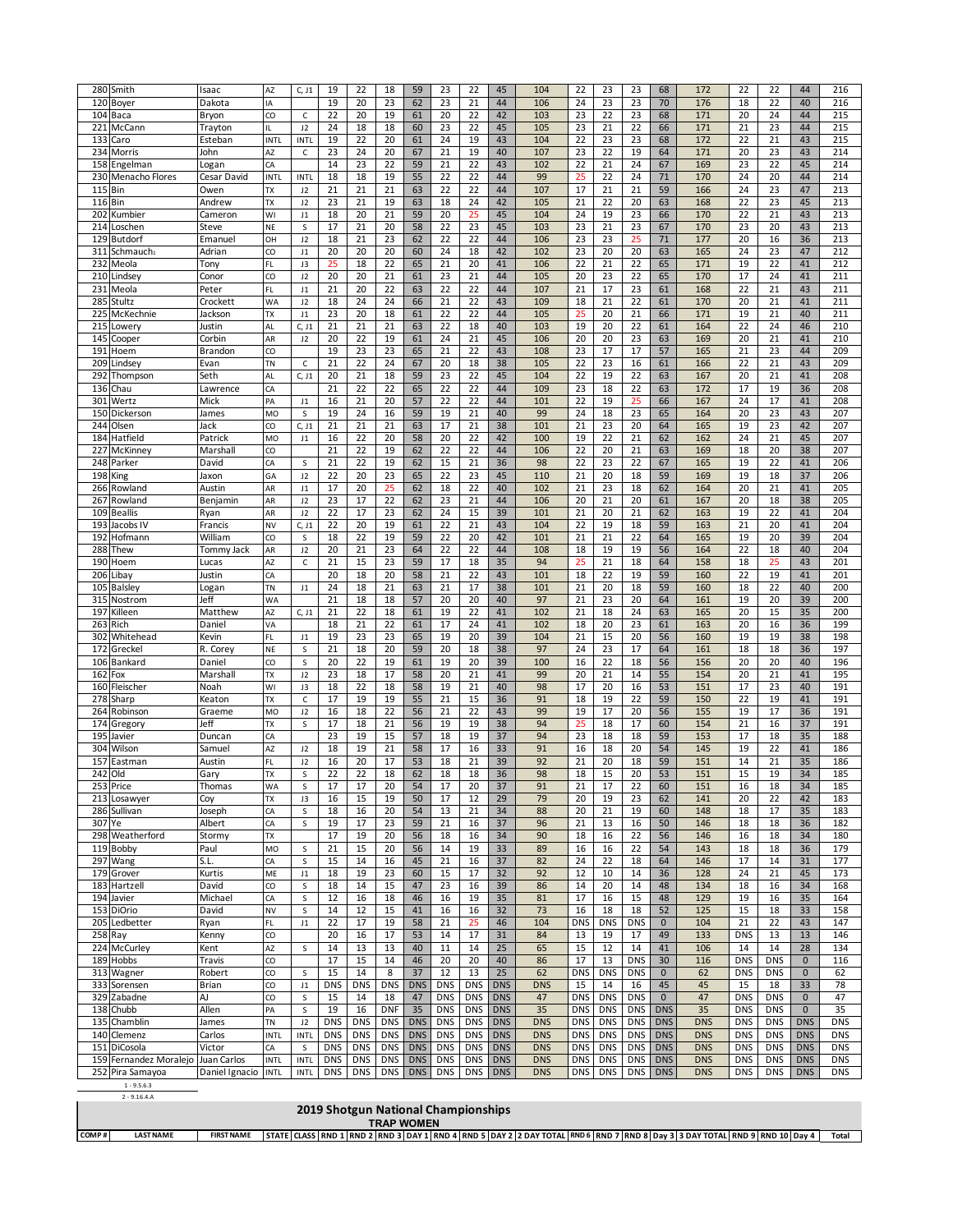| 280        | Smith                            | Isaac               | AZ                       | C, J1                         | 19         | 22         | 18         | 59         | 23         | 22         | 45         | 104        | 22         | 23         | 23         | 68          | 172        | 22         | 22         | 44          | 216        |
|------------|----------------------------------|---------------------|--------------------------|-------------------------------|------------|------------|------------|------------|------------|------------|------------|------------|------------|------------|------------|-------------|------------|------------|------------|-------------|------------|
|            | 120 Boyer                        | Dakota              | IA                       |                               | 19         | 20         | 23         | 62         | 23         | 21         | 44         | 106        | 24         | 23         | 23         | 70          | 176        | 18         | 22         | 40          | 216        |
|            | 104 Baca                         | Bryon               | CO                       | $\mathsf{C}$                  | 22         | 20         | 19         | 61         | 20         | 22         | 42         | 103        | 23         | 22         | 23         | 68          | 171        | 20         | 24         | 44          | 215        |
| 221        | McCann                           | Trayton             | IL.                      | J2                            | 24         | 18         | 18         | 60         | 23         | 22         | 45         | 105        | 23         | 21         | 22         | 66          | 171        | 21         | 23         | 44          | 215        |
| 133        | Caro                             | Esteban             | INTL                     | INTL                          | 19         | 22         | 20         | 61         | 24         | 19         | 43         | 104        | 22         | 23         | 23         | 68          | 172        | 22         | 21         | 43          | 215        |
| 234        | Morris                           | John                | AZ                       | $\mathsf{C}$                  | 23         | 24<br>23   | 20         | 67         | 21         | 19         | 40         | 107        | 23         | 22         | 19         | 64          | 171        | 20         | 23         | 43          | 214        |
| 158        | Engelman                         | Logan               | CA                       |                               | 14         | 18         | 22<br>19   | 59<br>55   | 21<br>22   | 22<br>22   | 43<br>44   | 102<br>99  | 22<br>25   | 21<br>22   | 24<br>24   | 67<br>71    | 169<br>170 | 23<br>24   | 22<br>20   | 45<br>44    | 214<br>214 |
| 115        | 230 Menacho Flores<br><b>Bin</b> | Cesar David<br>Owen | <b>INTL</b><br><b>TX</b> | INTL<br>J2                    | 18<br>21   | 21         | 21         | 63         | 22         | 22         | 44         | 107        | 17         | 21         | 21         | 59          | 166        | 24         | 23         | 47          | 213        |
| 116        | Bin                              | Andrew              | TX                       | J2                            | 23         | 21         | 19         | 63         | 18         | 24         | 42         | 105        | 21         | 22         | 20         | 63          | 168        | 22         | 23         | 45          | 213        |
| 202        | Kumbier                          | Cameron             | WI                       | J1                            | 18         | 20         | 21         | 59         | 20         | 25         | 45         | 104        | 24         | 19         | 23         | 66          | 170        | 22         | 21         | 43          | 213        |
| 214        | Loschen                          | Steve               | NE                       | S                             | 17         | 21         | 20         | 58         | 22         | 23         | 45         | 103        | 23         | 21         | 23         | 67          | 170        | 23         | 20         | 43          | 213        |
| 129        | <b>Butdorf</b>                   | Emanue              | OH                       | J2                            | 18         | 21         | 23         | 62         | 22         | 22         | 44         | 106        | 23         | 23         | 25         | 71          | 177        | 20         | 16         | 36          | 213        |
| 311        | Schmauch <sub>1</sub>            | Adrian              | CO                       | J1                            | 20         | 20         | 20         | 60         | 24         | 18         | 42         | 102        | 23         | 20         | 20         | 63          | 165        | 24         | 23         | 47          | 212        |
| 232        | Meola                            | Tony                | FL                       | J3                            | 25         | 18         | 22         | 65         | 21         | 20         | 41         | 106        | 22         | 21         | 22         | 65          | 171        | 19         | 22         | 41          | 212        |
| 210        | .indsey                          | Conor               | CO                       | J2                            | 20         | 20         | 21         | 61         | 23         | 21         | 44         | 105        | 20         | 23         | 22         | 65          | 170        | 17         | 24         | 41          | 211        |
| 231        | Meola                            | Peter               | FL                       | J1                            | 21         | 20         | 22         | 63         | 22         | 22         | 44         | 107        | 21         | 17         | 23         | 61          | 168        | 22         | 21         | 43          | 211        |
| 285        | Stultz                           | Crockett            | WA                       | J2                            | 18         | 24         | 24         | 66         | 21         | 22         | 43         | 109        | 18         | 21         | 22         | 61          | 170        | 20         | 21         | 41          | 211        |
| 225        | McKechnie                        | Jackson             | <b>TX</b>                | J1                            | 23         | 20         | 18         | 61         | 22         | 22         | 44         | 105        | 25         | 20         | 21         | 66          | 171        | 19         | 21         | 40          | 211        |
| 215        | .owery                           | Justin              | AL                       | C, J1                         | 21         | 21         | 21         | 63         | 22         | 18         | 40         | 103        | 19         | 20         | 22         | 61          | 164        | 22         | 24         | 46          | 210        |
| 145        | Cooper                           | Corbin              | AR                       | J2                            | 20         | 22         | 19         | 61         | 24         | 21         | 45         | 106        | 20         | 20         | 23         | 63          | 169        | 20         | 21         | 41          | 210        |
| 191        | Hoem                             | Brandon             | CO                       |                               | 19         | 23         | 23         | 65         | 21         | 22         | 43         | 108        | 23         | 17         | 17         | 57          | 165        | 21         | 23         | 44          | 209        |
| 209        | Lindse\                          | Evan                | TN                       | C                             | 21         | 22         | 24         | 67         | 20         | 18         | 38         | 105        | 22         | 23         | 16         | 61          | 166        | 22         | 21         | 43          | 209        |
| 292        | Thompson                         | Seth                | AL                       | C, J1                         | 20         | 21         | 18         | 59         | 23         | 22         | 45         | 104        | 22         | 19         | 22         | 63          | 167        | 20         | 21         | 41          | 208        |
| 136        | Chau                             | Lawrence            | CA                       |                               | 21         | 22         | 22         | 65         | 22         | 22         | 44         | 109        | 23         | 18         | 22         | 63          | 172        | 17         | 19         | 36          | 208        |
| 301        | Wertz                            | Mick                | PA                       | J1                            | 16         | 21         | 20         | 57         | 22         | 22         | 44         | 101        | 22         | 19         | 25         | 66          | 167        | 24         | 17         | 41          | 208        |
| 150        | Dickerson                        | James               | MO                       | S                             | 19         | 24         | 16         | 59         | 19         | 21         | 40         | 99         | 24         | 18         | 23         | 65          | 164        | 20         | 23         | 43          | 207        |
| 244        | Olsen                            | Jack                | CO                       | C, J1                         | 21         | 21         | 21         | 63         | 17         | 21         | 38         | 101        | 21         | 23         | 20         | 64          | 165        | 19         | 23         | 42          | 207        |
| 184        | Hatfield                         | Patrick             | MO                       | J1                            | 16         | 22         | 20         | 58         | 20         | 22         | 42         | 100        | 19         | 22         | 21         | 62          | 162        | 24         | 21         | 45          | 207        |
| 227        | McKinney                         | Marshall            | CO                       |                               | 21         | 22         | 19         | 62         | 22         | 22         | 44         | 106        | 22         | 20         | 21         | 63          | 169        | 18         | 20         | 38          | 207        |
| 248        | Parker                           | David               | CA                       | S                             | 21         | 22         | 19         | 62         | 15         | 21         | 36         | 98         | 22         | 23         | 22         | 67          | 165        | 19         | 22         | 41          | 206        |
| 198        | King                             | Jaxon               | GA                       | J2                            | 22         | 20         | 23         | 65         | 22         | 23         | 45         | 110        | 21         | 20         | 18         | 59          | 169        | 19         | 18         | 37          | 206        |
| 266        | Rowland                          | Austin              | AR                       | J1                            | 17         | 20         | 25         | 62         | 18         | 22         | 40         | 102        | 21         | 23         | 18         | 62          | 164        | 20         | 21         | 41          | 205        |
| 267        | Rowland                          | Benjamin            | AR                       | J2                            | 23         | 17         | 22         | 62         | 23         | 21         | 44         | 106        | 20         | 21         | 20         | 61          | 167        | 20         | 18         | 38          | 205        |
| 109        | <b>Beallis</b>                   | Ryan                | AR                       | J2                            | 22         | 17         | 23         | 62         | 24         | 15         | 39         | 101        | 21         | 20         | 21         | 62          | 163        | 19         | 22         | 41          | 204        |
| 193        | Jacobs IV                        | Francis             | <b>NV</b>                | C, J1                         | 22         | 20         | 19         | 61         | 22         | 21         | 43         | 104        | 22         | 19         | 18         | 59          | 163        | 21         | 20         | 41          | 204        |
| 192        | Hofmann                          | William             | CO                       | S                             | 18         | 22         | 19         | 59         | 22         | 20         | 42         | 101        | 21         | 21         | 22         | 64          | 165        | 19         | 20         | 39          | 204        |
| 288        | Thew                             | Tommy Jack          | AR                       | J2                            | 20         | 21         | 23         | 64         | 22         | 22         | 44         | 108        | 18         | 19         | 19         | 56          | 164        | 22         | 18         | 40          | 204        |
| 190        | Hoem                             | Lucas               | AZ                       | $\mathsf{C}$                  | 21         | 15         | 23         | 59         | 17         | 18         | 35         | 94         | 25         | 21         | 18         | 64          | 158        | 18         | 25         | 43          | 201        |
| 206        | .ibay                            | Justin              | CA                       |                               | 20         | 18         | 20         | 58         | 21         | 22         | 43         | 101        | 18         | 22         | 19         | 59          | 160        | 22         | 19         | 41          | 201        |
| 105        | Balsley                          | Logan               | TN                       | J1                            | 24         | 18         | 21         | 63         | 21         | 17         | 38         | 101        | 21         | 20         | 18         | 59          | 160        | 18         | 22         | 40          | 200        |
| 315        | Nostrom                          | Jeff                | WA                       |                               | 21         | 18         | 18         | 57         | 20         | 20         | 40         | 97         | 21         | 23         | 20         | 64          | 161        | 19         | 20         | 39          | 200        |
| 197<br>263 | Killeen<br>Rich                  | Matthew             | AZ                       | C, J1                         | 21<br>18   | 22<br>21   | 18<br>22   | 61<br>61   | 19<br>17   | 22<br>24   | 41<br>41   | 102<br>102 | 21<br>18   | 18<br>20   | 24<br>23   | 63<br>61    | 165<br>163 | 20<br>20   | 15<br>16   | 35<br>36    | 200<br>199 |
| 302        | Whitehead                        | Daniel              | VA<br>FL                 |                               | 19         | 23         | 23         | 65         | 19         | 20         | 39         | 104        | 21         | 15         | 20         | 56          | 160        | 19         | 19         | 38          | 198        |
| 172        | Grecke                           | Kevin               | NE                       | J1                            | 21         | 18         | 20         | 59         | 20         | 18         | 38         | 97         | 24         | 23         | 17         | 64          | 161        | 18         | 18         | 36          | 197        |
| 106        | Bankard                          | R. Corey<br>Daniel  | CO                       | S<br>S                        | 20         | 22         | 19         | 61         | 19         | 20         | 39         | 100        | 16         | 22         | 18         | 56          | 156        | 20         | 20         | 40          | 196        |
| 162        | Fox                              | Marshal             | <b>TX</b>                | J2                            | 23         | 18         | 17         | 58         | 20         | 21         | 41         | 99         | 20         | 21         | 14         | 55          | 154        | 20         | 21         | 41          | 195        |
| 160        | Fleischer                        | Noah                | WI                       | J3                            | 18         | 22         | 18         | 58         | 19         | 21         | 40         | 98         | 17         | 20         | 16         | 53          | 151        | 17         | 23         | 40          | 191        |
| 278        | Sharp                            | Keaton              | TX                       | $\mathsf C$                   | 17         | 19         | 19         | 55         | 21         | 15         | 36         | 91         | 18         | 19         | 22         | 59          | 150        | 22         | 19         | 41          | 191        |
| 264        | Robinson                         | Graeme              | <b>MO</b>                | J2                            | 16         | 18         | 22         | 56         | 21         | 22         | 43         | 99         | 19         | 17         | 20         | 56          | 155        | 19         | 17         | 36          | 191        |
| 174        | Gregory                          | Jeff                | TX                       | S                             | 17         | 18         | 21         | 56         | 19         | 19         | 38         | 94         | 25         | 18         | 17         | 60          | 154        | 21         | 16         | 37          | 191        |
| 195        | Javier                           | Duncan              | CA                       |                               | 23         | 19         | 15         | 57         | 18         | 19         | 37         | 94         | 23         | 18         | 18         | 59          | 153        | 17         | 18         | 35          | 188        |
| 304        | Wilson                           | Samue               | AZ                       | J2                            | 18         | 19         | 21         | 58         | 17         | 16         | 33         | 91         | 16         | 18         | 20         | 54          | 145        | 19         | 22         | 41          | 186        |
| 157        | Eastman                          | Austin              | FL                       | J2                            | 16         | 20         | 17         | 53         | 18         | 21         | 39         | 92         | 21         | 20         | 18         | 59          | 151        | 14         | 21         | 35          | 186        |
| 242        | Old                              | Gary                | <b>TX</b>                | S                             | 22         | 22         | 18         | 62         | 18         | 18         | 36         | 98         | 18         | 15         | 20         | 53          | 151        | 15         | 19         | 34          | 185        |
|            | 253 Price                        | Thomas              | WA                       | S                             | 17         | 17         | 20         | 54         | 17         | 20         | 37         | 91         | 21         | 17         | 22         | 60          | 151        | 16         | 18         | 34          | 185        |
|            | 213 Losawyer                     | Coy                 | <b>TX</b>                | J3                            | 16         | 15         | 19         | 50         | 17         | 12         | 29         | 79         | 20         | 19         | 23         | 62          | 141        | 20         | 22         | 42          | 183        |
|            | 286 Sullivan                     | Joseph              | CA                       | S                             | 18         | 16         | 20         | 54         | 13         | 21         | 34         | 88         | 20         | 21         | 19         | 60          | 148        | 18         | 17         | 35          | 183        |
| 307 Ye     |                                  | Albert              | CA                       | S                             | 19         | 17         | 23         | 59         | 21         | 16         | 37         | 96         | 21         | 13         | 16         | 50          | 146        | 18         | 18         | 36          | 182        |
|            | 298 Weatherford                  | Stormy              | <b>TX</b>                |                               | 17         | 19         | 20         | 56         | 18         | 16         | 34         | 90         | 18         | 16         | 22         | 56          | 146        | 16         | 18         | 34          | 180        |
|            | 119 Bobby                        | Paul                | MO                       | S                             | 21         | 15         | 20         | 56         | 14         | 19         | 33         | 89         | 16         | 16         | 22         | 54          | 143        | 18         | 18         | 36          | 179        |
|            | $297$ Wang                       | S.L.                | CA                       | S                             | 15         | 14         | 16         | 45         | 21         | 16         | 37         | 82         | 24         | 22         | 18         | 64          | 146        | 17         | 14         | 31          | 177        |
|            | 179 Grover                       | Kurtis              | ME                       | $_{\textrm{\scriptsize{J1}}}$ | 18         | 19         | 23         | 60         | 15         | 17         | 32         | 92         | 12         | 10         | 14         | 36          | 128        | 24         | 21         | 45          | 173        |
|            | 183 Hartzell                     | David               | CO                       | S                             | 18         | 14         | 15         | 47         | 23         | 16         | 39         | 86         | 14         | 20         | 14         | 48          | 134        | 18         | 16         | 34          | 168        |
|            | 194 Javier                       | Michael             | CA                       | S                             | 12         | 16         | 18         | 46         | 16         | 19         | 35         | 81         | 17         | 16         | 15         | 48          | 129        | 19         | 16         | 35          | 164        |
|            | 153 DiOrio                       | David               | NV                       | s                             | 14         | 12         | 15         | 41         | 16         | 16         | 32         | 73         | 16         | 18         | 18         | 52          | 125        | 15         | 18         | 33          | 158        |
|            | 205 Ledbetter                    | Ryan                | FL                       | J1                            | 22         | 17         | 19         | 58         | 21         | 25         | 46         | 104        | <b>DNS</b> | <b>DNS</b> | <b>DNS</b> | $\mathbf 0$ | 104        | 21         | 22         | 43          | 147        |
|            | $258$ Ray                        | Kenny               | CO                       |                               | 20         | 16         | 17         | 53         | 14         | 17         | 31         | 84         | 13         | 19         | 17         | 49          | 133        | <b>DNS</b> | 13         | 13          | 146        |
|            | 224 McCurley                     | Kent                | AZ                       | s                             | 14         | 13         | 13         | 40         | 11         | 14         | 25         | 65         | 15         | 12         | 14         | 41          | 106        | 14         | 14         | 28          | 134        |
|            | 189 Hobbs                        | Travis              | CO                       |                               | 17         | 15         | 14         | 46         | 20         | 20         | 40         | 86         | 17         | 13         | <b>DNS</b> | 30          | 116        | <b>DNS</b> | <b>DNS</b> | $\mathbf 0$ | 116        |
|            | 313 Wagner                       | Robert              | CO                       | S                             | 15         | 14         | 8          | 37         | 12         | 13         | 25         | 62         | <b>DNS</b> | <b>DNS</b> | <b>DNS</b> | $\mathbf 0$ | 62         | <b>DNS</b> | <b>DNS</b> | $\mathbf 0$ | 62         |
|            | 333 Sorensen                     | Brian               | CO                       | $_{\textrm{\scriptsize{J1}}}$ | <b>DNS</b> | <b>DNS</b> | <b>DNS</b> | <b>DNS</b> | <b>DNS</b> | <b>DNS</b> | <b>DNS</b> | <b>DNS</b> | 15         | 14         | 16         | 45          | 45         | 15         | 18         | 33          | 78         |
|            | 329 Zabadne                      | AJ                  | CO                       | S                             | 15         | 14         | 18         | 47         | <b>DNS</b> | <b>DNS</b> | <b>DNS</b> | 47         | <b>DNS</b> | <b>DNS</b> | <b>DNS</b> | $\mathbf 0$ | 47         | <b>DNS</b> | <b>DNS</b> | $\mathbf 0$ | 47         |
|            | 138 Chubb                        | Allen               | PA                       | s                             | 19         | 16         | <b>DNF</b> | 35         | <b>DNS</b> | <b>DNS</b> | <b>DNS</b> | 35         | <b>DNS</b> | <b>DNS</b> | <b>DNS</b> | <b>DNS</b>  | 35         | <b>DNS</b> | <b>DNS</b> | $\mathbf 0$ | 35         |
|            | 135 Chamblin                     | James               | TN                       | J2                            | <b>DNS</b> | <b>DNS</b> | <b>DNS</b> | <b>DNS</b> | <b>DNS</b> | <b>DNS</b> | <b>DNS</b> | <b>DNS</b> | <b>DNS</b> | <b>DNS</b> | <b>DNS</b> | <b>DNS</b>  | <b>DNS</b> | <b>DNS</b> | <b>DNS</b> | <b>DNS</b>  | <b>DNS</b> |
|            | 140 Clemenz                      | Carlos              | INTL                     | INTL                          | <b>DNS</b> | <b>DNS</b> | <b>DNS</b> | <b>DNS</b> | <b>DNS</b> | <b>DNS</b> | <b>DNS</b> | <b>DNS</b> | <b>DNS</b> | <b>DNS</b> | <b>DNS</b> | <b>DNS</b>  | <b>DNS</b> | <b>DNS</b> | <b>DNS</b> | <b>DNS</b>  | <b>DNS</b> |
|            | 151 DiCosola                     | Victor              | CA                       | s                             | <b>DNS</b> | <b>DNS</b> | <b>DNS</b> | <b>DNS</b> | <b>DNS</b> | <b>DNS</b> | <b>DNS</b> | <b>DNS</b> | <b>DNS</b> | <b>DNS</b> | <b>DNS</b> | <b>DNS</b>  | <b>DNS</b> | <b>DNS</b> | <b>DNS</b> | <b>DNS</b>  | DNS        |
|            | 159 Fernandez Moralejo           | Juan Carlos         | <b>INTL</b>              | INTL                          | <b>DNS</b> | <b>DNS</b> | <b>DNS</b> | <b>DNS</b> | <b>DNS</b> | <b>DNS</b> | <b>DNS</b> | <b>DNS</b> | <b>DNS</b> | <b>DNS</b> | <b>DNS</b> | <b>DNS</b>  | <b>DNS</b> | <b>DNS</b> | <b>DNS</b> | <b>DNS</b>  | DNS        |
|            | 252 Pira Samayoa<br>1.9562       | Daniel Ignacio      | <b>INTL</b>              | INTL                          | <b>DNS</b> | <b>DNS</b> | <b>DNS</b> | <b>DNS</b> | <b>DNS</b> | <b>DNS</b> | <b>DNS</b> | <b>DNS</b> | <b>DNS</b> | <b>DNS</b> | <b>DNS</b> | <b>DNS</b>  | <b>DNS</b> | <b>DNS</b> | <b>DNS</b> | <b>DNS</b>  | <b>DNS</b> |

1 - 9.5.6.3 2 - 9.16.4.A

**2019 Shotgun National Championships TRAP WOMEN**

COMP#| LASTNAME | FIRSTNAME |STATE|CLASS|RND 1|RND 2|RND 3|DAY 1|RND 4|RND 5|DAY 2|2 DAY TOTAL|RND 6|RND 7|RND 8|Day 3|3 DAY TOTAL|RND 9|RND 10|Day 4| Total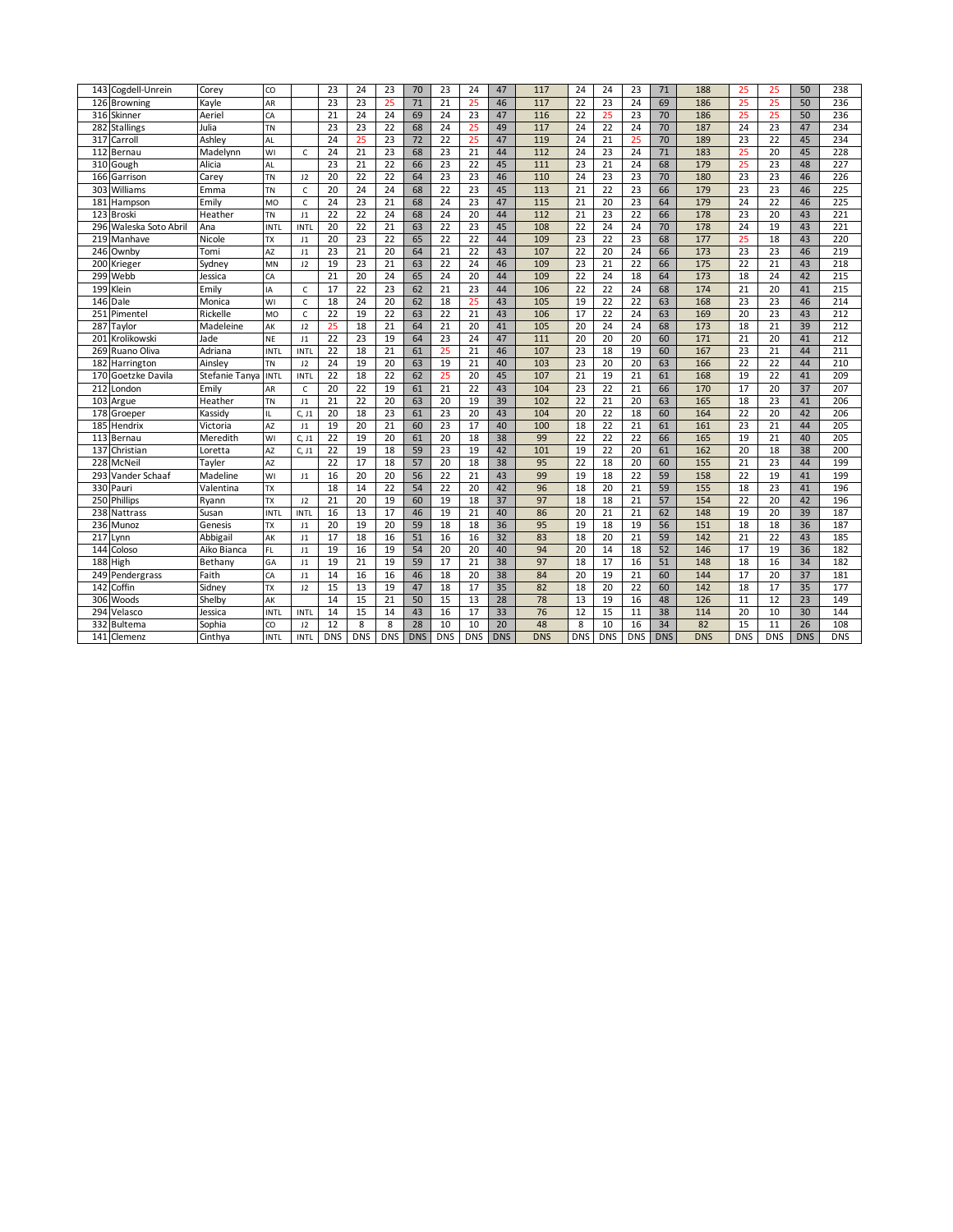| 143 Cogdell-Unrein     | Corey               | CO          |                | 23              | 24              | 23              | 70         | $\overline{23}$ | 24              | 47         | 117        | 24              | 24              | 23              | 71         | 188        | 25              | 25              | 50         | 238        |
|------------------------|---------------------|-------------|----------------|-----------------|-----------------|-----------------|------------|-----------------|-----------------|------------|------------|-----------------|-----------------|-----------------|------------|------------|-----------------|-----------------|------------|------------|
| 126 Browning           | Kavle               | AR          |                | 23              | 23              | 25              | 71         | $\overline{21}$ | 25              | 46         | 117        | 22              | 23              | 24              | 69         | 186        | 25              | 25              | 50         | 236        |
| 316<br>Skinner         | Aeriel              | CA          |                | 21              | 24              | 24              | 69         | 24              | 23              | 47         | 116        | $\overline{22}$ | 25              | 23              | 70         | 186        | 25              | 25              | 50         | 236        |
| 282 Stallings          | Julia               | TN          |                | 23              | 23              | $\overline{22}$ | 68         | 24              | 25              | 49         | 117        | 24              | 22              | 24              | 70         | 187        | 24              | 23              | 47         | 234        |
| 317<br>Carroll         | Ashley              | AL          |                | 24              | 25              | 23              | 72         | 22              | 25              | 47         | 119        | 24              | 21              | 25              | 70         | 189        | 23              | $\overline{22}$ | 45         | 234        |
| 112<br>Bernau          | Madelynn            | WI          | C              | 24              | 21              | 23              | 68         | 23              | $\overline{21}$ | 44         | 112        | 24              | 23              | 24              | 71         | 183        | 25              | 20              | 45         | 228        |
| 310 Gough              | Alicia              | AL          |                | 23              | $\overline{21}$ | $\overline{22}$ | 66         | $\overline{23}$ | $\overline{22}$ | 45         | 111        | 23              | $\overline{21}$ | 24              | 68         | 179        | 25              | 23              | 48         | 227        |
| 166<br>Garrison        | Carey               | TN          | 12             | 20              | 22              | $\overline{22}$ | 64         | 23              | 23              | 46         | 110        | 24              | 23              | 23              | 70         | 180        | $\overline{23}$ | 23              | 46         | 226        |
| 303<br>Williams        | Emma                | TN          | $\mathsf{C}$   | 20              | 24              | 24              | 68         | 22              | $\overline{23}$ | 45         | 113        | 21              | 22              | 23              | 66         | 179        | $\overline{23}$ | $\overline{23}$ | 46         | 225        |
| 181<br>Hampson         | Emily               | <b>MO</b>   | $\mathsf{C}$   | 24              | $\overline{23}$ | 21              | 68         | 24              | 23              | 47         | 115        | 21              | 20              | 23              | 64         | 179        | 24              | 22              | 46         | 225        |
| 123<br><b>Broski</b>   | Heather             | ΤN          | 11             | $\overline{22}$ | 22              | 24              | 68         | 24              | 20              | 44         | 112        | $\overline{21}$ | 23              | 22              | 66         | 178        | $\overline{23}$ | 20              | 43         | 221        |
| 296 Waleska Soto Abril | Ana                 | <b>INTL</b> | <b>INTL</b>    | 20              | 22              | $\overline{21}$ | 63         | 22              | 23              | 45         | 108        | 22              | 24              | 24              | 70         | 178        | 24              | 19              | 43         | 221        |
| 219 Manhave            | Nicole              | TX          | J1             | 20              | 23              | $\overline{22}$ | 65         | 22              | $\overline{22}$ | 44         | 109        | 23              | $\overline{22}$ | 23              | 68         | 177        | 25              | 18              | 43         | 220        |
| 246 Ownby              | Tomi                | AZ          | 11             | $\overline{23}$ | $\overline{21}$ | 20              | 64         | $\overline{21}$ | $\overline{22}$ | 43         | 107        | $\overline{22}$ | 20              | 24              | 66         | 173        | 23              | 23              | 46         | 219        |
| 200<br>Krieger         | Sydney              | MN          | 12             | 19              | 23              | $\overline{21}$ | 63         | 22              | 24              | 46         | 109        | 23              | 21              | 22              | 66         | 175        | 22              | 21              | 43         | 218        |
| 299<br>Webb            | Jessica             | CA          |                | 21              | 20              | 24              | 65         | 24              | 20              | 44         | 109        | $\overline{22}$ | 24              | 18              | 64         | 173        | 18              | 24              | 42         | 215        |
| 199<br>Klein           | Emily               | IA          | $\mathsf{C}$   | 17              | $\overline{22}$ | 23              | 62         | $\overline{21}$ | 23              | 44         | 106        | $\overline{22}$ | $\overline{22}$ | 24              | 68         | 174        | 21              | 20              | 41         | 215        |
| 146 Dale               | Monica              | WI          | $\mathsf{C}$   | 18              | 24              | 20              | 62         | 18              | 25              | 43         | 105        | 19              | 22              | 22              | 63         | 168        | 23              | 23              | 46         | 214        |
| 251<br>Pimentel        | Rickelle            | <b>MO</b>   | $\mathsf{C}$   | 22              | 19              | $\overline{22}$ | 63         | 22              | 21              | 43         | 106        | 17              | $\overline{22}$ | 24              | 63         | 169        | 20              | $\overline{23}$ | 43         | 212        |
| 287<br>aylor           | Madeleine           | AK          | 12             | 25              | 18              | $\overline{21}$ | 64         | $\overline{21}$ | 20              | 41         | 105        | 20              | 24              | 24              | 68         | 173        | 18              | $\overline{21}$ | 39         | 212        |
| 201<br>Krolikowski     | Jade                | NE          | $_{11}$        | $\overline{22}$ | 23              | 19              | 64         | 23              | 24              | 47         | 111        | 20              | 20              | 20              | 60         | 171        | 21              | 20              | 41         | 212        |
| 269 Ruano Oliva        | Adriana             | <b>INTL</b> | <b>INTL</b>    | 22              | 18              | $\overline{21}$ | 61         | 25              | 21              | 46         | 107        | $\overline{23}$ | 18              | 19              | 60         | 167        | $\overline{23}$ | $\overline{21}$ | 44         | 211        |
| 182<br>Harrington      | Ainslev             | <b>TN</b>   | 12             | 24              | 19              | 20              | 63         | 19              | $\overline{21}$ | 40         | 103        | $\overline{23}$ | 20              | 20              | 63         | 166        | $\overline{22}$ | $\overline{22}$ | 44         | 210        |
| 170 Goetzke Davila     | Stefanie Tanya INTL |             | <b>INTL</b>    | 22              | 18              | $\overline{22}$ | 62         | 25              | 20              | 45         | 107        | $\overline{21}$ | 19              | 21              | 61         | 168        | 19              | $\overline{22}$ | 41         | 209        |
| 212<br>London          | Emily               | AR          | $\mathsf{C}$   | 20              | 22              | 19              | 61         | $\overline{21}$ | $\overline{22}$ | 43         | 104        | 23              | 22              | 21              | 66         | 170        | 17              | 20              | 37         | 207        |
| 103<br>Argue           | Heather             | TN          | $_{11}$        | 21              | 22              | 20              | 63         | 20              | 19              | 39         | 102        | $\overline{22}$ | 21              | 20              | 63         | 165        | 18              | 23              | 41         | 206        |
| 178 Groeper            | Kassidy             | IL.         | C, J1          | 20              | 18              | $\overline{23}$ | 61         | $\overline{23}$ | 20              | 43         | 104        | 20              | $\overline{22}$ | 18              | 60         | 164        | $\overline{22}$ | 20              | 42         | 206        |
| 185 Hendrix            | Victoria            | AZ          | J <sub>1</sub> | 19              | 20              | $\overline{21}$ | 60         | 23              | 17              | 40         | 100        | 18              | $\overline{22}$ | 21              | 61         | 161        | 23              | $\overline{21}$ | 44         | 205        |
| 113<br>Bernau          | Meredith            | WI          | C, J1          | $\overline{22}$ | 19              | $\overline{20}$ | 61         | 20              | 18              | 38         | 99         | $\overline{22}$ | $\overline{22}$ | 22              | 66         | 165        | 19              | $\overline{21}$ | 40         | 205        |
| 137 Christian          | Loretta             | AZ          | C, J1          | $\overline{22}$ | 19              | 18              | 59         | $\overline{23}$ | 19              | 42         | 101        | 19              | 22              | 20              | 61         | 162        | 20              | 18              | 38         | 200        |
| 228<br>McNei           | Tayler              | AZ          |                | 22              | $\overline{17}$ | 18              | 57         | 20              | 18              | 38         | 95         | 22              | 18              | 20              | 60         | 155        | 21              | 23              | 44         | 199        |
| 293<br>Vander Schaaf   | Madeline            | WI          | J1             | 16              | 20              | 20              | 56         | 22              | $\overline{21}$ | 43         | 99         | 19              | 18              | 22              | 59         | 158        | $\overline{22}$ | 19              | 41         | 199        |
| 330 Pauri              | Valentina           | TX          |                | 18              | 14              | $\overline{22}$ | 54         | $\overline{22}$ | 20              | 42         | 96         | 18              | 20              | 21              | 59         | 155        | 18              | 23              | 41         | 196        |
| 250 Phillips           | Ryann               | TX          | J2             | $\overline{21}$ | 20              | 19              | 60         | 19              | 18              | 37         | 97         | 18              | 18              | 21              | 57         | 154        | 22              | 20              | 42         | 196        |
| 238 Nattrass           | Susan               | <b>INTL</b> | <b>INTL</b>    | 16              | 13              | 17              | 46         | 19              | 21              | 40         | 86         | 20              | 21              | $\overline{21}$ | 62         | 148        | 19              | 20              | 39         | 187        |
| 236 Munoz              | Genesis             | TX          | J1             | 20              | 19              | 20              | 59         | 18              | 18              | 36         | 95         | 19              | 18              | 19              | 56         | 151        | 18              | 18              | 36         | 187        |
| 217<br>Lynn            | Abbigail            | AK          | J1             | 17              | 18              | 16              | 51         | 16              | 16              | 32         | 83         | 18              | 20              | 21              | 59         | 142        | 21              | $\overline{22}$ | 43         | 185        |
| 144<br>Coloso          | Aiko Bianca         | FL.         | $_{11}$        | 19              | 16              | 19              | 54         | 20              | 20              | 40         | 94         | 20              | 14              | 18              | 52         | 146        | 17              | 19              | 36         | 182        |
| 188 High               | Bethany             | GA          | $_{11}$        | 19              | 21              | 19              | 59         | 17              | $\overline{21}$ | 38         | 97         | 18              | 17              | 16              | 51         | 148        | 18              | 16              | 34         | 182        |
| 249 Pendergrass        | Faith               | CA          | $_{11}$        | 14              | 16              | 16              | 46         | 18              | 20              | 38         | 84         | $\overline{20}$ | 19              | 21              | 60         | 144        | 17              | 20              | 37         | 181        |
| 142<br>Coffin          | Sidney              | TX          | 12             | 15              | 13              | 19              | 47         | 18              | 17              | 35         | 82         | 18              | 20              | 22              | 60         | 142        | 18              | 17              | 35         | 177        |
| Woods<br>306           | Shelby              | AK          |                | 14              | 15              | $\overline{21}$ | 50         | 15              | 13              | 28         | 78         | 13              | 19              | 16              | 48         | 126        | 11              | 12              | 23         | 149        |
| 294<br>Velasco         | lessica             | <b>INTL</b> | <b>INTL</b>    | 14              | 15              | 14              | 43         | 16              | 17              | 33         | 76         | 12              | $\overline{15}$ | 11              | 38         | 114        | 20              | 10              | 30         | 144        |
| 332<br>Bultema         | Sophia              | CO          | 12             | 12              | 8               | 8               | 28         | 10              | 10              | 20         | 48         | 8               | 10              | 16              | 34         | 82         | 15              | 11              | 26         | 108        |
| 141<br>Clemenz         | Cinthya             | <b>INTL</b> | <b>INTL</b>    | DNS             | <b>DNS</b>      | <b>DNS</b>      | <b>DNS</b> | <b>DNS</b>      | <b>DNS</b>      | <b>DNS</b> | <b>DNS</b> | <b>DNS</b>      | <b>DNS</b>      | <b>DNS</b>      | <b>DNS</b> | <b>DNS</b> | <b>DNS</b>      | <b>DNS</b>      | <b>DNS</b> | <b>DNS</b> |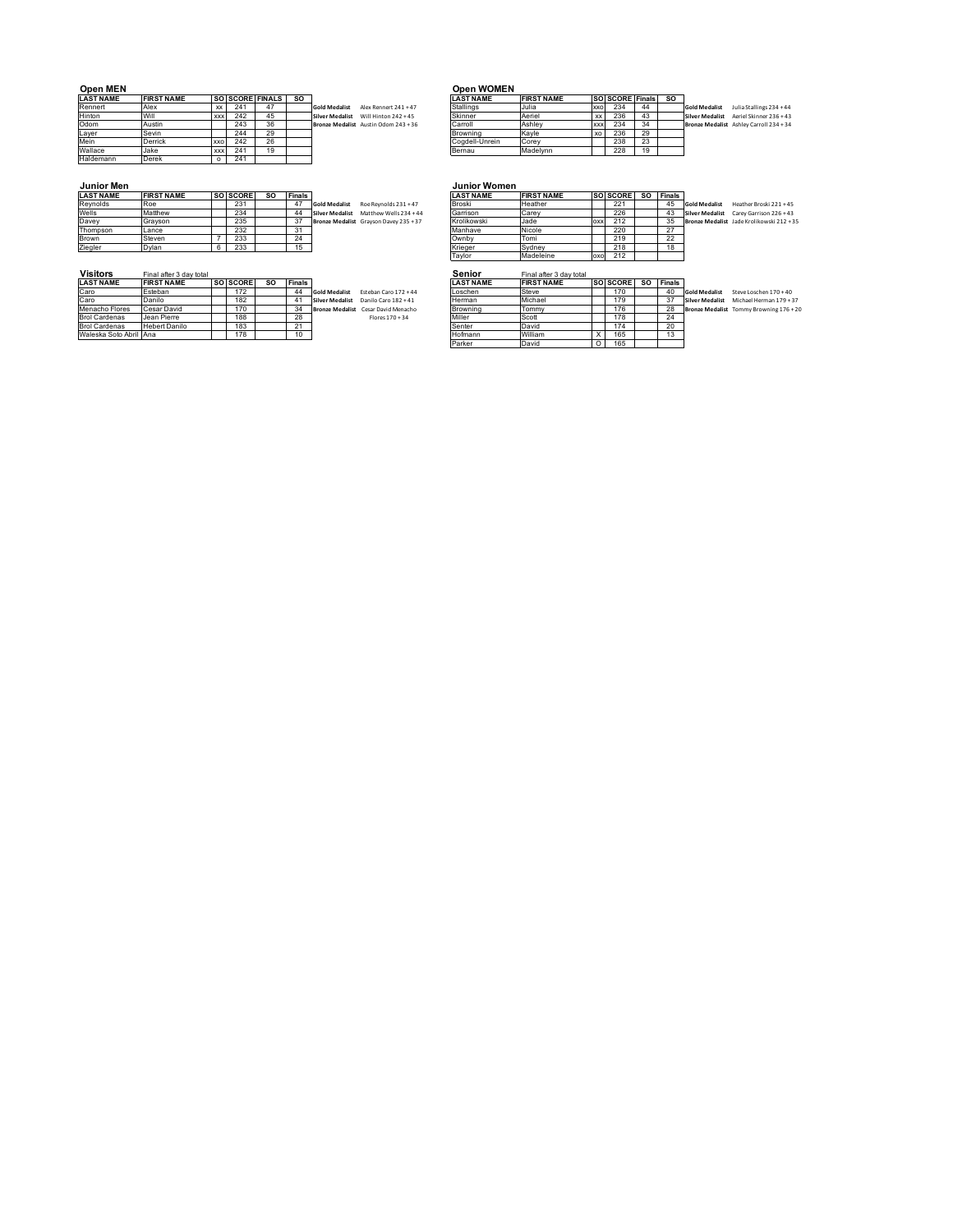| <b>Open MEN</b>  |                   |            |     |                        |    |                                               | <b>Open WOMEN</b> |                   |            |                        |    |           |
|------------------|-------------------|------------|-----|------------------------|----|-----------------------------------------------|-------------------|-------------------|------------|------------------------|----|-----------|
| <b>LAST NAME</b> | <b>FIRST NAME</b> |            |     | <b>SO SCORE FINALS</b> | SO |                                               | <b>LAST NAME</b>  | <b>FIRST NAME</b> |            | <b>SO SCORE Finals</b> |    | <b>SO</b> |
| Rennert          | Alex              | XX         | 24' | 47                     |    | <b>Gold Medalist</b><br>Alex Rennert 241 + 47 | Stallings         | Julia             | <b>XXO</b> | 234                    | 44 |           |
| Hinton           | Will              | <b>XXX</b> | 242 | 45                     |    | <b>Silver Medalist</b><br>Will Hinton 242+45  | Skinner           | Aeriel            | XX         | 236                    | 43 |           |
| Odom             | Austin            |            | 243 | 36                     |    | Bronze Medalist Austin Odom 243 + 36          | Carroll           | Ashley            | <b>XXX</b> | 234                    | 34 |           |
| Layer            | Sevin             |            | 244 | 29                     |    |                                               | Browning          | Kavle             | XO         | 236                    | 29 |           |
| Mein             | <b>Derrick</b>    | <b>XXO</b> | 242 | 26                     |    |                                               | Coadell-Unrein    | Corey             |            | 238                    | 23 |           |
| Wallace          | Jake              | <b>XXX</b> | 241 | 19                     |    |                                               | Bernau            | Madelynn          |            | 228                    | 19 |           |
| Haldemann        | <b>Derek</b>      |            | 241 |                        |    |                                               |                   |                   |            |                        |    |           |

| <b>LAST NAME</b> | <b>FIRST NAME</b> |            |     | <b>SO SCORE FINALS</b> | -SO |                                      | <b>LAST NAME</b> | <b>FIRST NAME</b> |            | SO SCORE Finals |    | <b>SO</b> |                      |                                         |
|------------------|-------------------|------------|-----|------------------------|-----|--------------------------------------|------------------|-------------------|------------|-----------------|----|-----------|----------------------|-----------------------------------------|
| Rennert          | Alex              |            | 241 |                        |     | Gold Medalist Alex Rennert 241 + 47  | Stallings        | Julia             | xxo        | 234             | 44 |           | <b>Gold Medalist</b> | Julia Stallings 234 + 44                |
| Hinton           | Will              | <b>XXX</b> | 242 | 45                     |     | Silver Medalist Will Hinton 242 + 45 | Skinner          | Aeriel            | XX         | 236             | 43 |           |                      | Silver Medalist Aeriel Skinner 236 + 43 |
| Odom             | Austin            |            | 243 | 36                     |     | Bronze Medalist Austin Odom 243 + 36 | Carroll          | Ashlev            | <b>XXX</b> | 234             | 34 |           |                      | Bronze Medalist Ashley Carroll 234 + 34 |
| Layer            | Sevin             |            | 244 | 29                     |     |                                      | Browning         | Kavle             | XO         | 236             | 29 |           |                      |                                         |
| Mein             | Derrick           | <b>XXO</b> | 242 | 26                     |     |                                      | Coadell-Unrein   | Corev             |            | 238             | 23 |           |                      |                                         |
| Wallace          | Jake              | <b>XXX</b> | 241 | 1ດ                     |     |                                      | Bernau           | Madelynn          |            | 228             | 19 |           |                      |                                         |
| .                |                   |            | .   |                        |     |                                      |                  |                   |            |                 |    |           |                      |                                         |

| <b>LAST NAME</b> | <b>FIRST NAME</b> | SO SCORE | <b>SO</b> | <b>Finals</b> |                                                 | <b>LAST NAME</b> | <b>FIRST NAME</b> |     | <b>SO SCORE</b> | so | <b>Finals</b> |
|------------------|-------------------|----------|-----------|---------------|-------------------------------------------------|------------------|-------------------|-----|-----------------|----|---------------|
| Revnolds         | Roe               | 231      |           | 47            | Roe Revnolds 231 + 47<br><b>Gold Medalist</b>   | <b>Broski</b>    | Heather           |     | 221             |    | 45            |
| Wells            | Matthew           | 234      |           | 44            | Matthew Wells 234 +44<br><b>Silver Medalist</b> | Garrison         | Carey             |     | 226             |    | 43            |
| Davey            | Gravson           | 235      |           | 37            | Bronze Medalist Grayson Davey 235 + 37          | Krolikowski      | Jade              | oxx | 212             |    | 35            |
| Thompson         | Lance             | 232      |           | 31            |                                                 | Manhave          | Nicole            |     | 220             |    | 27            |
| Brown            | Steven            | 233      |           | 24            |                                                 | Ownby            | Tomi              |     | 219             |    | 22            |
| Ziegler          | Dvlan             | 233      |           | 15            |                                                 | Krieger          | Sydney            |     | 218             |    | 18            |
|                  |                   |          |           |               |                                                 | Taylor           | Madeleine         | oxo | 212             |    |               |
|                  |                   |          |           |               |                                                 |                  |                   |     |                 |    |               |

# **Visitors** Final after 3 day total **Senior After 3 day total Senior After 3 day 1**

| <b>LAST NAME</b>       | <b>IFIRST NAME</b>   | <b>SO ISCORE</b> | so | Finals |                                             | <b>ILAST NAME</b> | <b>IFIRST NAME</b> | <b>ISO ISCORE</b> | -SC | l Finals    |                        |
|------------------------|----------------------|------------------|----|--------|---------------------------------------------|-------------------|--------------------|-------------------|-----|-------------|------------------------|
| Caro                   | Esteban              | 172              |    | 44     | Esteban Caro 172+44<br><b>Gold Medalist</b> | Loschen           | Steve              | 170               |     | 40          | Gold Medalist          |
| Caro                   | Danilo               | 182              |    |        | Danilo Caro 182+41<br>Silver Medalist       | Herman            | Michael            | 179               |     | $3^{\circ}$ | <b>Silver Medalist</b> |
| Menacho Flores         | Cesar David          | 170              |    | -34    | Bronze Medalist Cesar David Menacho         | Browning          | Tommy              | 176               |     | 28          | <b>Bronze Medali</b>   |
| <b>Brol Cardenas</b>   | Jean Pierre          | 188              |    | 28     | $Flares 170 + 34$                           | Miller            | Scott              | 178               |     | 24          |                        |
| <b>Brol Cardenas</b>   | <b>Hebert Danilo</b> | 183              |    |        |                                             | Senter            | David              | 174               |     | 20          |                        |
| Waleska Soto Abril Ana |                      | 178              |    | 10     |                                             | Hofmann           | William            | 165               |     |             |                        |

# **Junior Men Junior Women**

| <b>LAST NAME</b> | <b>FIRST NAME</b> | <b>SO SCORE</b> | so | Finals |                      |                                        | <b>LAST NAME</b> | <b>FIRST NAME</b> |     | <b>ISOISCORE</b> | -SO | l Finals |                      |                                           |
|------------------|-------------------|-----------------|----|--------|----------------------|----------------------------------------|------------------|-------------------|-----|------------------|-----|----------|----------------------|-------------------------------------------|
| Revnolds         | <b>Roe</b>        | 231             |    | 47     | <b>Gold Medalist</b> | Roe Revnolds 231 + 47                  | Broski           | Heather           |     | 221              |     | 45       | <b>Gold Medalist</b> | Heather Broski 221 + 45                   |
| Wells            | Matthew           | 234             |    | 44     |                      | Silver Medalist Matthew Wells 234 + 44 | Garrison         | <b>Carev</b>      |     | 226              |     | 43       |                      | Silver Medalist Carey Garrison 226 + 43   |
| Davey            | Gravson           | 235             |    | 37     |                      | Bronze Medalist Grayson Davey 235 + 37 | Krolikowski      | Jade              | OXX | 212              |     | 35       |                      | Bronze Medalist Jade Krolikowski 212 + 35 |
| Thompson         | Lance             | 232             |    | د.     |                      |                                        | Manhave          | Nicole            |     | 220              |     | 27       |                      |                                           |
| Brown            | Steven            | 233             |    | 24     |                      |                                        | Ownby            | Tomi              |     | 219              |     | 22       |                      |                                           |
| Ziegler          | Dvlan             | 233             |    |        |                      |                                        | Krieger          | Svdnev            |     | 218              |     | 18       |                      |                                           |
|                  |                   |                 |    |        |                      |                                        | Taylor           | Madeleine         | oxo | 212              |     |          |                      |                                           |
|                  |                   |                 |    |        |                      |                                        |                  |                   |     |                  |     |          |                      |                                           |

# **LAST NAME FIRST NAME SO SCORE SO Finals LAST NAME FIRST NAME SO SCORE SO Finals**

| LAST NAME              | <b>IFIRST NAME</b>   | <b>ISO ISCORE</b> | so | Finals         |                                             | <b>ILAST NAME</b> | <b>IFIRST NAME</b> | <b>ISOISCOREI</b> | so | <b>IFinals</b> |                      |                                         |
|------------------------|----------------------|-------------------|----|----------------|---------------------------------------------|-------------------|--------------------|-------------------|----|----------------|----------------------|-----------------------------------------|
| Caro                   | Esteban              | 172               |    | 44             | Esteban Caro 172+44<br><b>Gold Medalist</b> | Loschen           | Steve              | 170               |    | 40             | <b>Gold Medalist</b> | Steve Loschen 170 + 40                  |
| Caro                   | Danilo               | 182               |    |                | Silver Medalist Danilo Caro 182 + 41        | Herman            | Michael            | 179               |    |                |                      | Silver Medalist Michael Herman 179 + 37 |
| Menacho Flores         | Cesar David          | 170               |    | 34             | Bronze Medalist Cesar David Menacho         | Browning          | Tommy              | 176               |    | 28             |                      | Bronze Medalist Tommy Browning 176 + 20 |
| <b>Brol Cardenas</b>   | Jean Pierre          | 188               |    | 28             | Flores 170 + 34                             | Miller            | Scott              | 178               |    | 24             |                      |                                         |
| <b>Brol Cardenas</b>   | <b>Hebert Danilo</b> | 183               |    | 21<br><u>.</u> |                                             | Senter            | David              | 174               |    | 20             |                      |                                         |
| Waleska Soto Abril Ana |                      | 178               |    |                |                                             | Hofmann           | William            | 165               |    |                |                      |                                         |
|                        |                      |                   |    |                |                                             | Parker            | David              | 165               |    |                |                      |                                         |
|                        |                      |                   |    |                |                                             |                   |                    |                   |    |                |                      |                                         |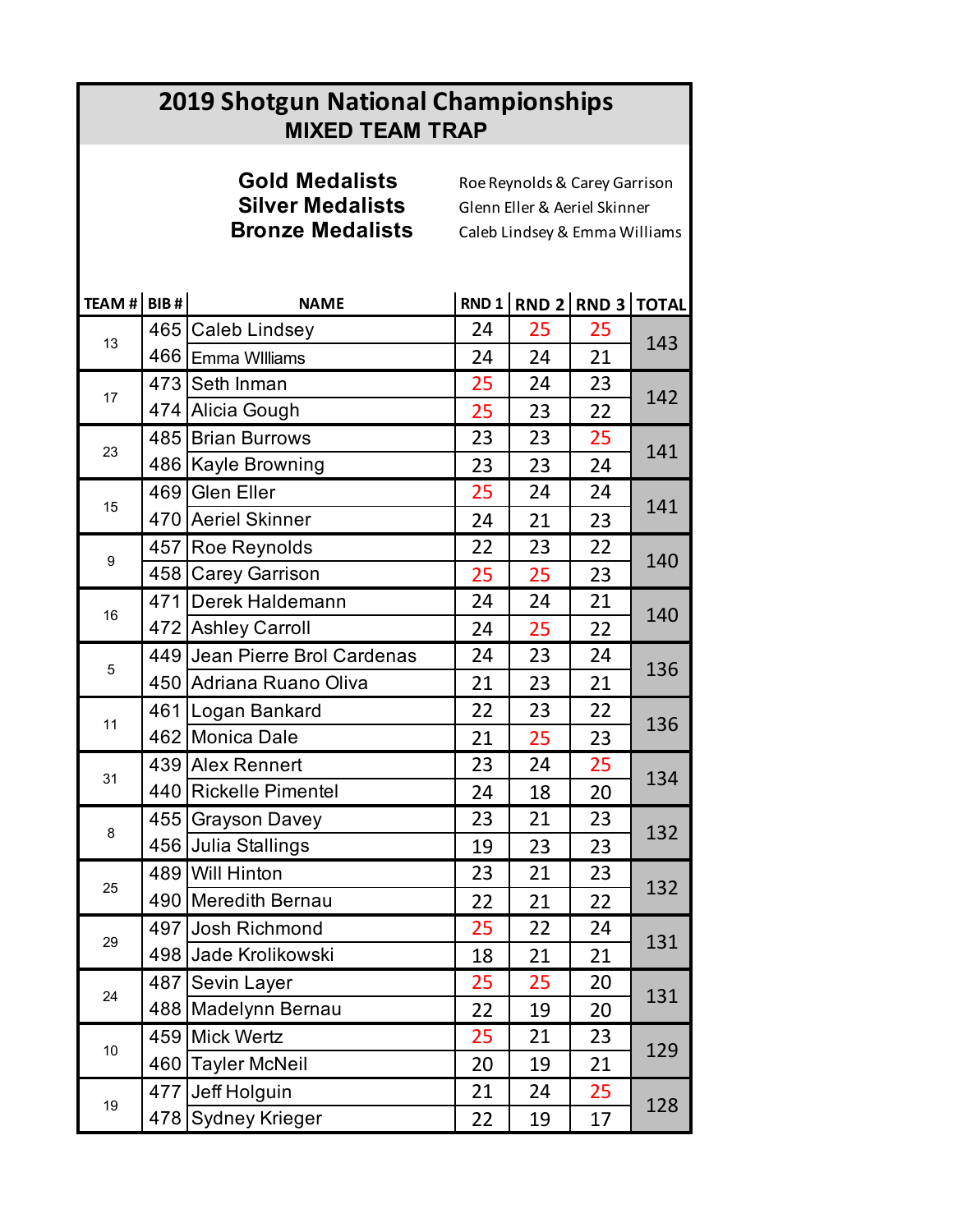# **2019 Shotgun National Championships MIXED TEAM TRAP**

# **Gold Medalists** Roe Reynolds & Carey Garrison

**Silver Medalists** Glenn Eller & Aeriel Skinner<br>**Bronze Medalists** Caleb Lindsey & Emma Willi **Bronze Medalists** Caleb Lindsey & Emma Williams

| TEAM # BIB # |     | <b>NAME</b>                   |    | RND 1 RND 2 RND 3 TOTAL |    |     |
|--------------|-----|-------------------------------|----|-------------------------|----|-----|
| 13           |     | 465 Caleb Lindsey             | 24 | 25                      | 25 | 143 |
|              |     | 466 Emma Williams             | 24 | 24                      | 21 |     |
|              |     | 473 Seth Inman                | 25 | 24                      | 23 | 142 |
| 17           |     | 474 Alicia Gough              | 25 | 23                      | 22 |     |
| 23           |     | 485 Brian Burrows             | 23 | 23                      | 25 | 141 |
|              |     | 486   Kayle Browning          | 23 | 23                      | 24 |     |
| 15           |     | 469 Glen Eller                | 25 | 24                      | 24 | 141 |
|              |     | 470 Aeriel Skinner            | 24 | 21                      | 23 |     |
|              |     | 457 Roe Reynolds              | 22 | 23                      | 22 |     |
| 9            |     | 458 Carey Garrison            | 25 | 25                      | 23 | 140 |
|              | 471 | Derek Haldemann               | 24 | 24                      | 21 |     |
| 16           |     | 472 Ashley Carroll            | 24 | 25                      | 22 | 140 |
|              |     | 449 Jean Pierre Brol Cardenas | 24 | 23                      | 24 |     |
| 5            | 450 | Adriana Ruano Oliva           | 21 | 23                      | 21 | 136 |
|              | 461 | Logan Bankard                 | 22 | 23                      | 22 |     |
| 11           |     | 462 Monica Dale               | 21 | 25                      | 23 | 136 |
|              |     | 439 Alex Rennert              | 23 | 24                      | 25 |     |
| 31           |     | 440 Rickelle Pimentel         | 24 | 18                      | 20 | 134 |
|              |     | 455 Grayson Davey             | 23 | 21                      | 23 |     |
| 8            |     | 456 Julia Stallings           | 19 | 23                      | 23 | 132 |
|              |     | 489 Will Hinton               | 23 | 21                      | 23 | 132 |
| 25           |     | 490 Meredith Bernau           | 22 | 21                      | 22 |     |
| 29           |     | 497 Josh Richmond             | 25 | 22                      | 24 |     |
|              |     | 498 Jade Krolikowski          | 18 | 21                      | 21 | 131 |
|              |     | 487 Sevin Layer               | 25 | 25                      | 20 |     |
| 24           |     | 488 Madelynn Bernau           | 22 | 19                      | 20 | 131 |
|              |     | 459 Mick Wertz                | 25 | 21                      | 23 |     |
| 10           | 460 | <b>Tayler McNeil</b>          | 20 | 19                      | 21 | 129 |
|              |     | 477 Jeff Holguin              | 21 | 24                      | 25 |     |
| 19           |     | 478 Sydney Krieger            | 22 | 19                      | 17 | 128 |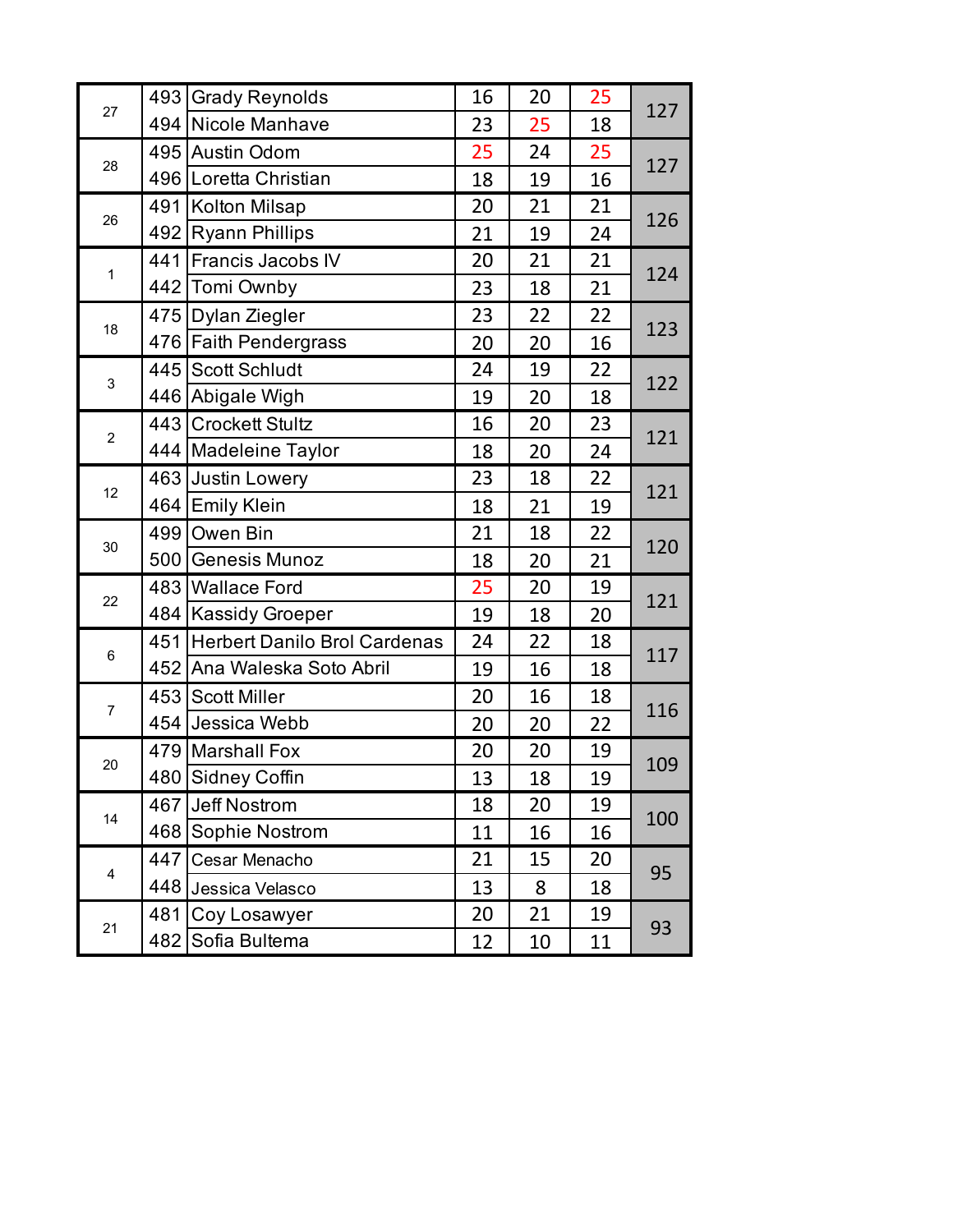|                | 493 | <b>Grady Reynolds</b>               | 16 | 20 | 25 |     |
|----------------|-----|-------------------------------------|----|----|----|-----|
| 27             | 494 | Nicole Manhave                      | 23 | 25 | 18 | 127 |
|                |     | 495 Austin Odom                     | 25 | 24 | 25 |     |
| 28             |     | 496 Loretta Christian               | 18 | 19 | 16 | 127 |
|                |     | 491 Kolton Milsap                   | 20 | 21 | 21 | 126 |
| 26             |     | 492 Ryann Phillips                  | 21 | 19 | 24 |     |
| $\mathbf{1}$   | 441 | Francis Jacobs IV                   | 20 | 21 | 21 |     |
|                | 442 | Tomi Ownby                          | 23 | 18 | 21 | 124 |
|                |     | 475   Dylan Ziegler                 | 23 | 22 | 22 |     |
| 18             |     | 476 Faith Pendergrass               | 20 | 20 | 16 | 123 |
|                | 445 | <b>Scott Schludt</b>                | 24 | 19 | 22 |     |
| 3              |     | 446 Abigale Wigh                    | 19 | 20 | 18 | 122 |
|                | 443 | <b>Crockett Stultz</b>              | 16 | 20 | 23 |     |
| $\overline{2}$ |     | 444   Madeleine Taylor              | 18 | 20 | 24 | 121 |
|                | 463 | Justin Lowery                       | 23 | 18 | 22 |     |
| 12             |     |                                     | 18 | 21 | 19 | 121 |
|                |     | 464 Emily Klein                     |    |    |    |     |
|                | 499 | Owen Bin                            | 21 | 18 | 22 |     |
| 30             | 500 | <b>Genesis Munoz</b>                | 18 | 20 | 21 | 120 |
|                |     | 483 Wallace Ford                    | 25 | 20 | 19 |     |
| 22             |     | 484   Kassidy Groeper               | 19 | 18 | 20 | 121 |
|                | 451 | <b>Herbert Danilo Brol Cardenas</b> | 24 | 22 | 18 |     |
| 6              |     | 452 Ana Waleska Soto Abril          | 19 | 16 | 18 | 117 |
|                |     | 453 Scott Miller                    | 20 | 16 | 18 |     |
| $\overline{7}$ |     | 454 Jessica Webb                    | 20 | 20 | 22 | 116 |
|                |     | 479 Marshall Fox                    | 20 | 20 | 19 |     |
| 20             |     | 480 Sidney Coffin                   | 13 | 18 | 19 | 109 |
|                |     | 467 Jeff Nostrom                    | 18 | 20 | 19 |     |
| 14             |     | 468 Sophie Nostrom                  | 11 | 16 | 16 | 100 |
|                | 447 | Cesar Menacho                       | 21 | 15 | 20 |     |
| 4              |     | 448 Jessica Velasco                 | 13 | 8  | 18 | 95  |
| 21             | 481 | Coy Losawyer                        | 20 | 21 | 19 | 93  |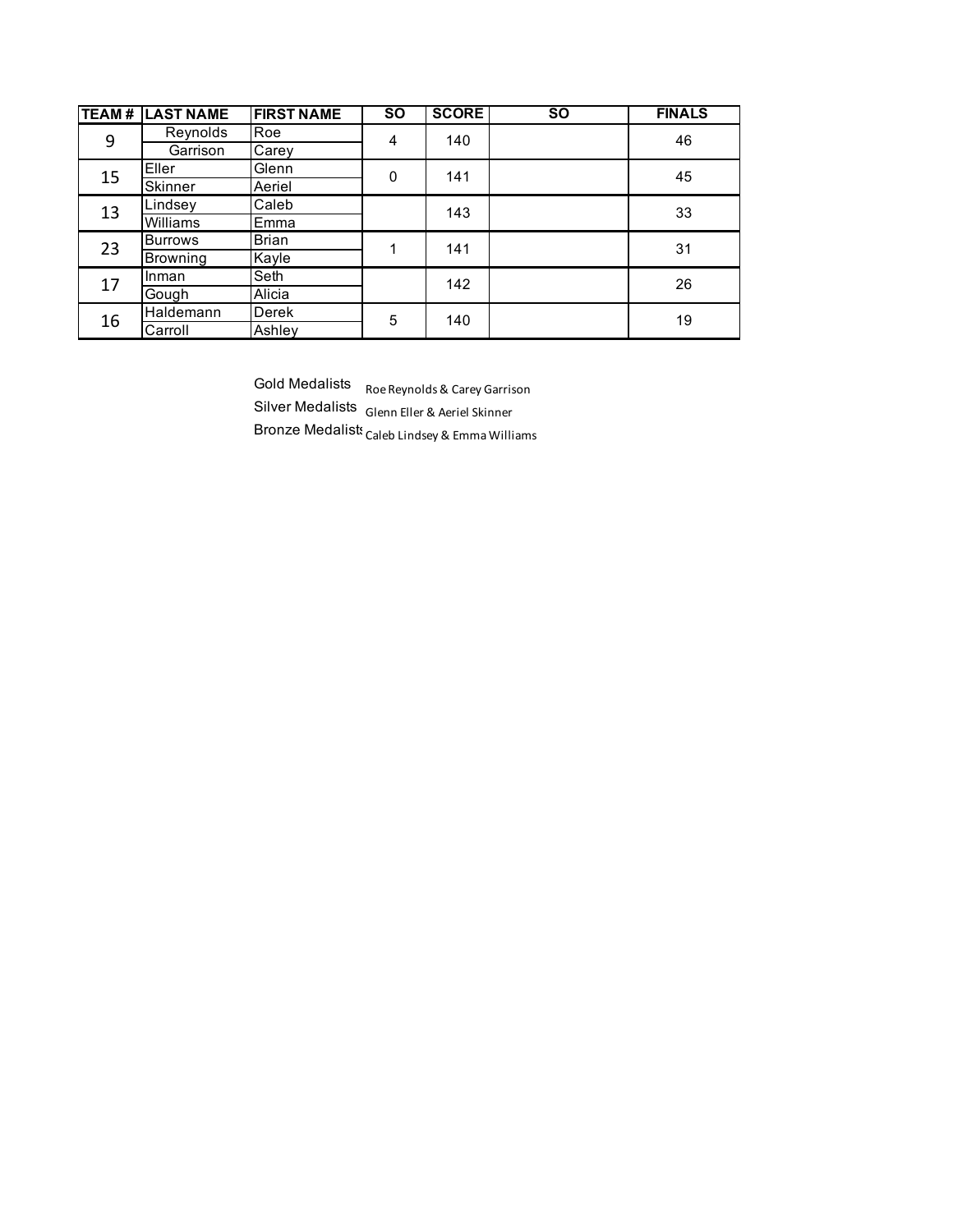| TEAM# | <b>LAST NAME</b> | <b>FIRST NAME</b> | <b>SO</b> | <b>SCORE</b> | $\overline{SO}$ | <b>FINALS</b> |
|-------|------------------|-------------------|-----------|--------------|-----------------|---------------|
| 9     | Reynolds         | Roe               | 4         | 140          |                 | 46            |
|       | Garrison         | Carey             |           |              |                 |               |
| 15    | Eller            | Glenn             | 0         | 141          |                 | 45            |
|       | Skinner          | Aeriel            |           |              |                 |               |
| 13    | Lindsey          | Caleb             |           | 143          |                 | 33            |
|       | Williams         | Emma              |           |              |                 |               |
| 23    | <b>Burrows</b>   | <b>Brian</b>      | 1         | 141          |                 | 31            |
|       | Browning         | Kayle             |           |              |                 |               |
| 17    | Inman            | Seth              |           | 142          |                 | 26            |
|       | Gough            | Alicia            |           |              |                 |               |
| 16    | Haldemann        | Derek             | 5         | 140          |                 | 19            |
|       | Carroll          | Ashley            |           |              |                 |               |

Gold Medalists Roe Reynolds & Carey Garrison Silver Medalists Glenn Eller & Aeriel Skinner Bronze Medalists  $C$ aleb Lindsey & Emma Williams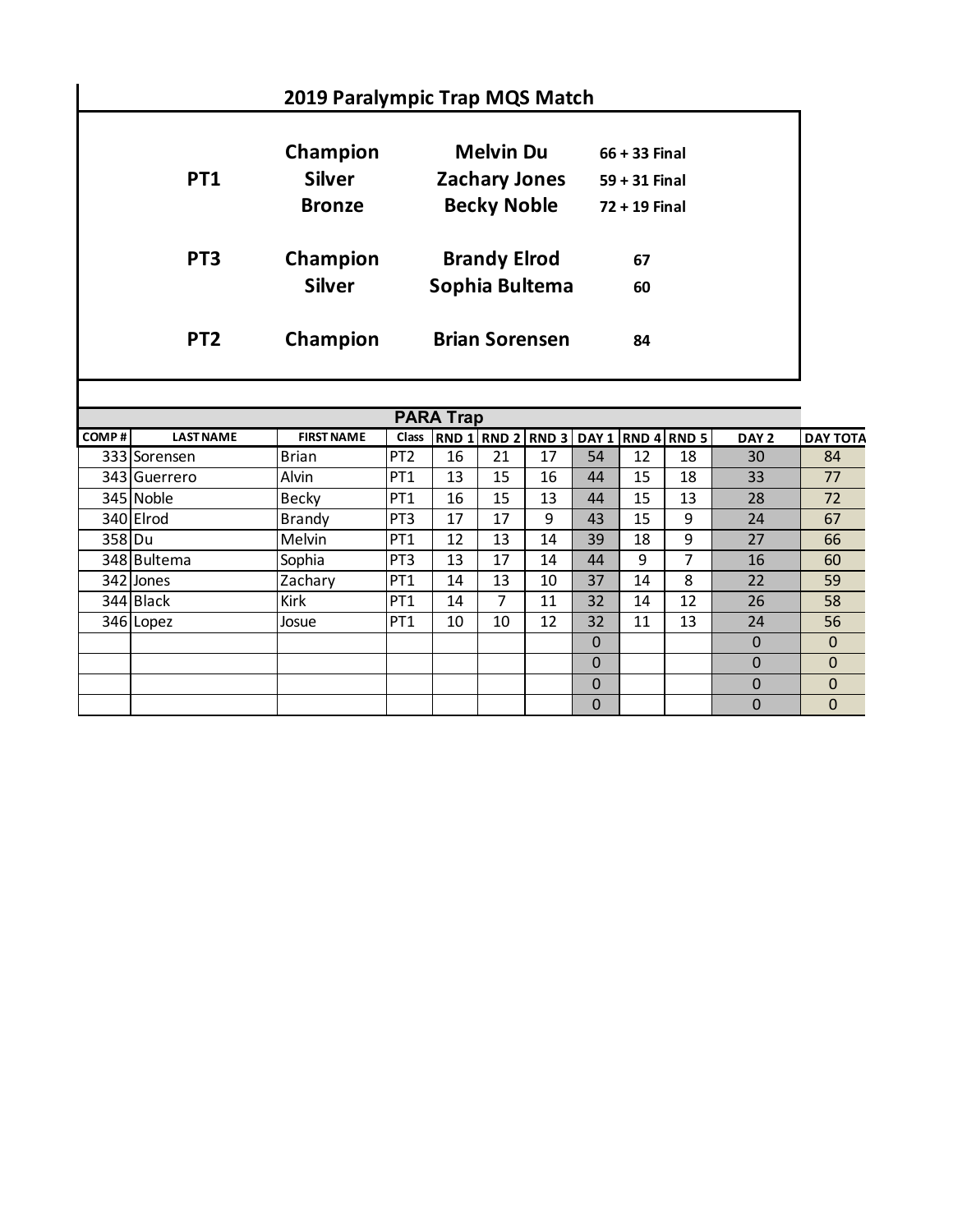|                 |                                            | 2019 Paralympic Trap MQS Match                                 |                                                       |  |
|-----------------|--------------------------------------------|----------------------------------------------------------------|-------------------------------------------------------|--|
| PT1             | Champion<br><b>Silver</b><br><b>Bronze</b> | <b>Melvin Du</b><br><b>Zachary Jones</b><br><b>Becky Noble</b> | $66 + 33$ Final<br>$59 + 31$ Final<br>$72 + 19$ Final |  |
| PT <sub>3</sub> | Champion<br><b>Silver</b>                  | <b>Brandy Elrod</b><br>Sophia Bultema                          | 67<br>60                                              |  |
| PT <sub>2</sub> | Champion                                   | <b>Brian Sorensen</b>                                          | 84                                                    |  |

|        | <b>PARA Trap</b> |                   |                 |    |    |    |              |    |                                     |                  |                 |  |  |  |  |
|--------|------------------|-------------------|-----------------|----|----|----|--------------|----|-------------------------------------|------------------|-----------------|--|--|--|--|
| COMP#  | <b>LAST NAME</b> | <b>FIRST NAME</b> | <b>Class</b>    |    |    |    |              |    | RND 1 RND 2 RND 3 DAY 1 RND 4 RND 5 | DAY <sub>2</sub> | <b>DAY TOTA</b> |  |  |  |  |
|        | 333 Sorensen     | <b>Brian</b>      | PT <sub>2</sub> | 16 | 21 | 17 | 54           | 12 | 18                                  | 30               | 84              |  |  |  |  |
|        | 343 Guerrero     | Alvin             | PT <sub>1</sub> | 13 | 15 | 16 | 44           | 15 | 18                                  | 33               | 77              |  |  |  |  |
|        | 345 Noble        | <b>Becky</b>      | PT <sub>1</sub> | 16 | 15 | 13 | 44           | 15 | 13                                  | 28               | 72              |  |  |  |  |
|        | 340 Elrod        | <b>Brandy</b>     | PT <sub>3</sub> | 17 | 17 | 9  | 43           | 15 | 9                                   | 24               | 67              |  |  |  |  |
| 358 Du |                  | Melvin            | PT <sub>1</sub> | 12 | 13 | 14 | 39           | 18 | 9                                   | 27               | 66              |  |  |  |  |
|        | 348 Bultema      | Sophia            | PT <sub>3</sub> | 13 | 17 | 14 | 44           | 9  | 7                                   | 16               | 60              |  |  |  |  |
|        | 342 Jones        | Zachary           | PT <sub>1</sub> | 14 | 13 | 10 | 37           | 14 | 8                                   | 22               | 59              |  |  |  |  |
|        | 344 Black        | <b>Kirk</b>       | PT <sub>1</sub> | 14 | 7  | 11 | 32           | 14 | 12                                  | 26               | 58              |  |  |  |  |
|        | 346 Lopez        | Josue             | PT <sub>1</sub> | 10 | 10 | 12 | 32           | 11 | 13                                  | 24               | 56              |  |  |  |  |
|        |                  |                   |                 |    |    |    | $\mathbf{0}$ |    |                                     | $\Omega$         | $\mathbf 0$     |  |  |  |  |
|        |                  |                   |                 |    |    |    | $\Omega$     |    |                                     | $\Omega$         | $\Omega$        |  |  |  |  |
|        |                  |                   |                 |    |    |    | $\mathbf{0}$ |    |                                     | $\Omega$         | 0               |  |  |  |  |
|        |                  |                   |                 |    |    |    | $\Omega$     |    |                                     | $\Omega$         | 0               |  |  |  |  |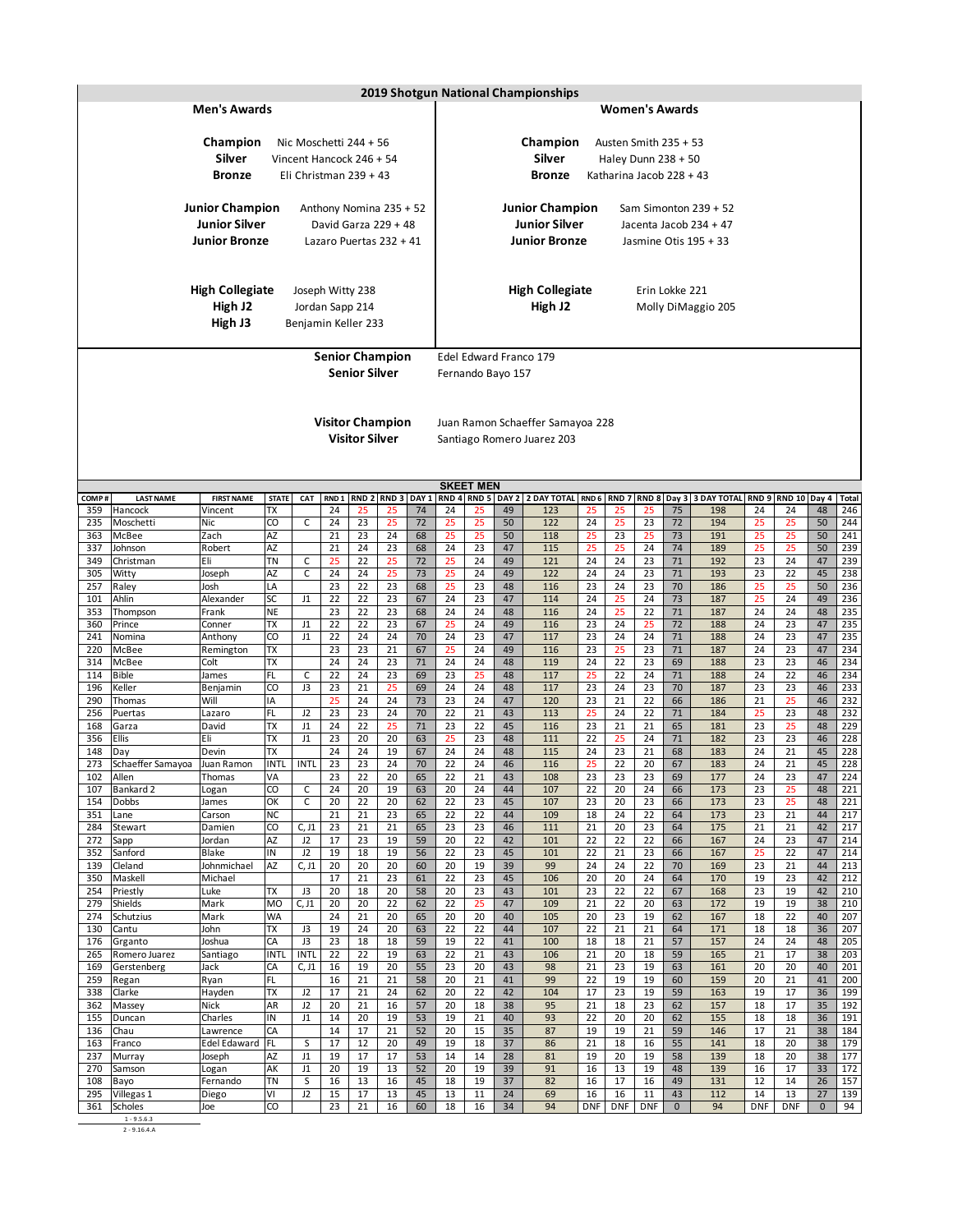|            |                                                                                                       | 2019 Shotgun National Championships |                   |                      |                                  |                                     |                  |                  |          |          |          |                        |                  |                  |                          |                   |                         |           |                  |                   |            |
|------------|-------------------------------------------------------------------------------------------------------|-------------------------------------|-------------------|----------------------|----------------------------------|-------------------------------------|------------------|------------------|----------|----------|----------|------------------------|------------------|------------------|--------------------------|-------------------|-------------------------|-----------|------------------|-------------------|------------|
|            |                                                                                                       | <b>Men's Awards</b>                 |                   |                      |                                  |                                     |                  |                  |          |          |          |                        |                  |                  | <b>Women's Awards</b>    |                   |                         |           |                  |                   |            |
|            |                                                                                                       |                                     |                   |                      |                                  |                                     |                  |                  |          |          |          |                        |                  |                  |                          |                   |                         |           |                  |                   |            |
|            |                                                                                                       | Champion                            |                   |                      |                                  | Nic Moschetti 244 + 56              |                  |                  |          |          |          | Champion               |                  |                  | Austen Smith 235 + 53    |                   |                         |           |                  |                   |            |
|            |                                                                                                       | <b>Silver</b>                       |                   |                      |                                  | Vincent Hancock 246 + 54            |                  |                  |          |          |          | Silver                 |                  |                  | Haley Dunn $238 + 50$    |                   |                         |           |                  |                   |            |
|            |                                                                                                       | <b>Bronze</b>                       |                   |                      |                                  | Eli Christman 239 + 43              |                  |                  |          |          |          | <b>Bronze</b>          |                  |                  | Katharina Jacob 228 + 43 |                   |                         |           |                  |                   |            |
|            |                                                                                                       |                                     |                   |                      |                                  |                                     |                  |                  |          |          |          |                        |                  |                  |                          |                   |                         |           |                  |                   |            |
|            |                                                                                                       | <b>Junior Champion</b>              |                   |                      |                                  | Anthony Nomina 235 + 52             |                  |                  |          |          |          | <b>Junior Champion</b> |                  |                  |                          |                   | Sam Simonton $239 + 52$ |           |                  |                   |            |
|            |                                                                                                       | <b>Junior Silver</b>                |                   |                      |                                  | David Garza 229 + 48                |                  |                  |          |          |          | <b>Junior Silver</b>   |                  |                  |                          |                   | Jacenta Jacob 234 + 47  |           |                  |                   |            |
|            |                                                                                                       | <b>Junior Bronze</b>                |                   |                      |                                  | Lazaro Puertas 232 + 41             |                  |                  |          |          |          | <b>Junior Bronze</b>   |                  |                  |                          |                   | Jasmine Otis 195 + 33   |           |                  |                   |            |
|            |                                                                                                       |                                     |                   |                      |                                  |                                     |                  |                  |          |          |          |                        |                  |                  |                          |                   |                         |           |                  |                   |            |
|            |                                                                                                       | <b>High Collegiate</b>              |                   |                      |                                  |                                     |                  |                  |          |          |          | <b>High Collegiate</b> |                  |                  | Erin Lokke 221           |                   |                         |           |                  |                   |            |
|            |                                                                                                       | High J2                             |                   |                      |                                  | Joseph Witty 238<br>Jordan Sapp 214 |                  |                  |          |          |          | High J2                |                  |                  |                          |                   | Molly DiMaggio 205      |           |                  |                   |            |
|            |                                                                                                       | High J3                             |                   |                      |                                  | Benjamin Keller 233                 |                  |                  |          |          |          |                        |                  |                  |                          |                   |                         |           |                  |                   |            |
|            |                                                                                                       |                                     |                   |                      |                                  |                                     |                  |                  |          |          |          |                        |                  |                  |                          |                   |                         |           |                  |                   |            |
|            |                                                                                                       |                                     |                   |                      | Edel Edward Franco 179           |                                     |                  |                  |          |          |          |                        |                  |                  |                          |                   |                         |           |                  |                   |            |
|            |                                                                                                       |                                     |                   | Fernando Bayo 157    |                                  |                                     |                  |                  |          |          |          |                        |                  |                  |                          |                   |                         |           |                  |                   |            |
|            |                                                                                                       |                                     |                   |                      |                                  |                                     |                  |                  |          |          |          |                        |                  |                  |                          |                   |                         |           |                  |                   |            |
|            |                                                                                                       |                                     |                   |                      |                                  |                                     |                  |                  |          |          |          |                        |                  |                  |                          |                   |                         |           |                  |                   |            |
|            |                                                                                                       |                                     |                   |                      | Juan Ramon Schaeffer Samayoa 228 |                                     |                  |                  |          |          |          |                        |                  |                  |                          |                   |                         |           |                  |                   |            |
|            |                                                                                                       |                                     |                   |                      |                                  | Santiago Romero Juarez 203          |                  |                  |          |          |          |                        |                  |                  |                          |                   |                         |           |                  |                   |            |
|            |                                                                                                       |                                     |                   |                      |                                  |                                     |                  |                  |          |          |          |                        |                  |                  |                          |                   |                         |           |                  |                   |            |
|            | <b>SKEET MEN</b><br>RND 4 RND 5 DAY 2 2 DAY TOTAL RND 6<br>RND 8 Day 3 3 DAY TOTAL RND 9 RND 10 Day 4 |                                     |                   |                      |                                  |                                     |                  |                  |          |          |          |                        |                  |                  |                          |                   |                         |           |                  |                   |            |
| COMP#      | <b>LAST NAME</b>                                                                                      | <b>FIRST NAME</b>                   | <b>STATE</b>      | CAT                  | RND <sub>1</sub>                 | RND <sub>2</sub>                    | RND <sub>3</sub> | DAY <sub>1</sub> |          |          |          |                        |                  | RND <sub>7</sub> |                          |                   |                         |           |                  |                   | Total      |
| 359        | Hancock                                                                                               | Vincent                             | <b>TX</b>         |                      | 24                               | 25                                  | 25               | 74               | 24       | 25       | 49       | 123                    | 25               | 25               | 25                       | 75                | 198                     | 24        | 24               | 48                | 246        |
| 235        | Moschetti                                                                                             | <b>Nic</b>                          | CO                | C                    | 24                               | 23                                  | 25               | 72               | 25       | 25       | 50       | 122                    | 24               | 25               | 23                       | 72                | 194                     | 25        | 25               | 50                | 244        |
| 363<br>337 | McBee<br>Johnson                                                                                      | Zach<br>Robert                      | AZ<br>AZ          |                      | 21<br>21                         | 23<br>24                            | 24<br>23         | 68<br>68         | 25<br>24 | 25<br>23 | 50<br>47 | 118<br>115             | 25<br>25         | 23<br>25         | 25<br>24                 | 73<br>74          | 191<br>189              | 25<br>25  | 25<br>25         | 50<br>50          | 241<br>239 |
| 349        | Christman                                                                                             | Eli                                 | <b>TN</b>         | C                    | 25                               | 22                                  | 25               | 72               | 25       | 24       | 49       | 121                    | 24               | 24               | 23                       | 71                | 192                     | 23        | 24               | 47                | 239        |
| 305        | Witty                                                                                                 | Joseph                              | AZ                | $\mathsf{C}$         | 24                               | 24                                  | 25               | 73               | 25       | 24       | 49       | 122                    | 24               | 24               | 23                       | 71                | 193                     | 23        | 22               | 45                | 238        |
| 257<br>101 | Raley<br>Ahlin                                                                                        | Josh<br>Alexander                   | LA<br>SC          | J1                   | 23<br>22                         | 22<br>22                            | 23<br>23         | 68<br>67         | 25<br>24 | 23<br>23 | 48<br>47 | 116<br>114             | 23<br>24         | 24<br>25         | 23<br>24                 | 70<br>73          | 186<br>187              | 25<br>25  | 25<br>24         | 50<br>49          | 236<br>236 |
| 353        | Thompson                                                                                              | Frank                               | <b>NE</b>         |                      | 23                               | 22                                  | 23               | 68               | 24       | 24       | 48       | 116                    | 24               | 25               | 22                       | 71                | 187                     | 24        | 24               | 48                | 235        |
| 360        | Prince                                                                                                | Conner                              | TX                | J1                   | 22                               | 22                                  | 23               | 67               | 25       | 24       | 49       | 116                    | 23               | 24               | 25                       | 72                | 188                     | 24        | 23               | 47                | 235        |
| 241<br>220 | Nomina<br>McBee                                                                                       | Anthony<br>Remington                | CO<br><b>TX</b>   | J1                   | 22<br>23                         | 24<br>23                            | 24<br>21         | 70<br>67         | 24<br>25 | 23<br>24 | 47<br>49 | 117<br>116             | 23<br>23         | 24<br>25         | 24<br>23                 | 71<br>71          | 188<br>187              | 24<br>24  | 23<br>23         | 47<br>47          | 235<br>234 |
| 314        | McBee                                                                                                 | Colt                                | TX                |                      | 24                               | 24                                  | 23               | 71               | 24       | 24       | 48       | 119                    | 24               | 22               | 23                       | 69                | 188                     | 23        | 23               | 46                | 234        |
| 114        | <b>Bible</b>                                                                                          | James                               | FL                | C                    | 22                               | 24                                  | 23               | 69               | 23       | 25       | 48       | 117                    | 25               | 22               | 24                       | $71\,$            | 188                     | 24        | 22               | 46                | 234        |
| 196<br>290 | Keller<br>Thomas                                                                                      | Benjamin<br>Will                    | CO<br>IA          | J3                   | 23<br>25                         | 21<br>24                            | 25<br>24         | 69<br>73         | 24<br>23 | 24<br>24 | 48<br>47 | 117<br>120             | 23<br>23         | 24<br>21         | 23<br>22                 | 70<br>66          | 187<br>186              | 23<br>21  | 23<br>25         | 46<br>46          | 233<br>232 |
| 256        | Puertas                                                                                               | Lazaro                              | FL                | J2                   | 23                               | 23                                  | 24               | 70               | 22       | 21       | 43       | 113                    | 25               | 24               | 22                       | 71                | 184                     | 25        | 23               | 48                | 232        |
| 168        | Garza                                                                                                 | David                               | ТX                | J1                   | 24                               | 22                                  | 25               | 71               | 23       | 22       | 45       | 116                    | 23               | 21               | 21                       | 65                | 181                     | 23        | 25               | 48                | 229        |
| 356<br>148 | <b>Ellis</b><br>Day                                                                                   | Eli<br>Devin                        | TХ<br>TХ          | J1                   | 23<br>24                         | 20<br>24                            | 20<br>19         | 63<br>67         | 25<br>24 | 23<br>24 | 48<br>48 | 111<br>115             | 22<br>24         | 25<br>23         | 24<br>21                 | 71<br>68          | 182<br>183              | 23<br>24  | 23<br>21         | 46<br>45          | 228<br>228 |
| 273        | Schaeffer Samayoa                                                                                     | Juan Ramon                          | <b>INTL</b>       | <b>INTL</b>          | 23                               | 23                                  | 24               | 70               | 22       | 24       | 46       | 116                    | 25               | 22               | 20                       | 67                | 183                     | 24        | 21               | 45                | 228        |
|            | 102 Allen                                                                                             | Thomas                              | VA                |                      | 23                               | 22                                  | 20               | 65               | 22       | 21       | 43       | 108                    | 23               | 23               | 23                       | 69                | 177                     | 24        | 23               | 47                | 224        |
| 107<br>154 | Bankard 2<br>Dobbs                                                                                    | Logan<br>James                      | CO<br>OK          | С<br>C               | 24<br>20                         | 20<br>22                            | 19<br>20         | 63<br>62         | 20<br>22 | 24<br>23 | 44<br>45 | 107<br>107             | 22<br>23         | 20<br>20         | 24<br>23                 | 66<br>66          | 173<br>173              | 23<br>23  | 25<br>25         | 48<br>48          | 221<br>221 |
| 351        | Lane                                                                                                  | Carson                              | <b>NC</b>         |                      | 21                               | 21                                  | 23               | 65               | 22       | 22       | 44       | 109                    | 18               | 24               | 22                       | 64                | 173                     | 23        | 21               | 44                | 217        |
| 284        | Stewart                                                                                               | Damien                              | CO                | C, J1                | 23                               | 21                                  | 21               | 65               | 23       | 23       | 46       | 111                    | 21               | 20               | 23                       | 64                | 175                     | 21        | 21               | 42                | 217        |
| 272<br>352 | Sapp<br>Sanford                                                                                       | Jordan<br>Blake                     | AZ<br>IN          | J2<br>J2             | 17<br>19                         | 23<br>18                            | 19<br>19         | 59<br>56         | 20<br>22 | 22<br>23 | 42<br>45 | 101<br>101             | 22<br>22         | 22<br>21         | 22<br>23                 | 66<br>66          | 167<br>167              | 24<br>25  | 23<br>22         | 47<br>47          | 214<br>214 |
| 139        | Cleland                                                                                               | Johnmichael                         | AZ                | C, J1                | 20                               | 20                                  | 20               | 60               | 20       | 19       | 39       | 99                     | 24               | 24               | 22                       | 70                | 169                     | 23        | 21               | 44                | 213        |
| 350        | Maskell                                                                                               | Michael                             |                   |                      | 17                               | 21                                  | 23               | 61               | 22       | 23       | 45       | 106                    | 20               | 20               | 24                       | 64                | 170                     | 19        | 23               | 42                | 212        |
| 254<br>279 | Priestly<br>Shields                                                                                   | Luke<br>Mark                        | TΧ<br>MO          | J3<br>C, J1          | 20<br>20                         | 18<br>20                            | 20<br>22         | 58<br>62         | 20<br>22 | 23<br>25 | 43<br>47 | 101<br>109             | 23<br>21         | 22<br>22         | 22<br>20                 | 67<br>63          | 168<br>172              | 23<br>19  | 19<br>19         | 42<br>38          | 210<br>210 |
| 274        | Schutzius                                                                                             | Mark                                | <b>WA</b>         |                      | 24                               | 21                                  | 20               | 65               | 20       | 20       | 40       | 105                    | 20               | 23               | 19                       | 62                | 167                     | 18        | 22               | 40                | 207        |
| 130        | Cantu                                                                                                 | John                                | TХ                | J3                   | 19                               | 24                                  | 20               | 63               | 22       | 22       | 44       | 107                    | 22               | 21               | 21                       | 64                | 171                     | 18        | 18               | 36                | 207        |
| 176<br>265 | Grganto<br>Romero Juarez                                                                              | Joshua<br>Santiago                  | СA<br><b>INTL</b> | J3<br><b>INTL</b>    | 23<br>22                         | 18<br>22                            | 18<br>19         | 59<br>63         | 19<br>22 | 22<br>21 | 41<br>43 | 100<br>106             | 18<br>21         | 18<br>20         | 21<br>18                 | 57<br>59          | 157<br>165              | 24<br>21  | 24<br>17         | 48<br>38          | 205<br>203 |
| 169        | Gerstenberg                                                                                           | Jack                                | CA                | C, J1                | 16                               | 19                                  | 20               | 55               | 23       | 20       | 43       | 98                     | 21               | 23               | 19                       | 63                | 161                     | 20        | 20               | 40                | 201        |
| 259        | Regan                                                                                                 | Ryan                                | FL                |                      | 16                               | 21                                  | 21               | 58               | 20       | 21       | 41       | 99                     | 22               | 19               | 19                       | 60                | 159                     | 20        | 21               | 41                | 200        |
| 338<br>362 | Clarke<br>Massey                                                                                      | Hayden<br>Nick                      | TХ<br>AR          | J <sub>2</sub><br>J2 | 17<br>20                         | 21<br>21                            | 24<br>16         | 62<br>57         | 20<br>20 | 22<br>18 | 42<br>38 | 104<br>95              | 17<br>21         | 23<br>18         | 19<br>23                 | 59<br>62          | 163<br>157              | 19<br>18  | 17<br>17         | 36<br>35          | 199<br>192 |
| 155        | Duncan                                                                                                | Charles                             | IN                | J1                   | 14                               | 20                                  | 19               | 53               | 19       | 21       | 40       | 93                     | 22               | 20               | 20                       | 62                | 155                     | 18        | 18               | 36                | 191        |
| 136        | Chau                                                                                                  | Lawrence                            | CA                |                      | 14                               | 17                                  | 21               | 52               | 20       | 15       | 35       | 87                     | 19               | 19               | 21                       | 59                | 146                     | 17        | 21               | 38                | 184        |
| 163<br>237 | Franco<br>Murray                                                                                      | Edel Edaward<br>Joseph              | <b>FL</b><br>AZ   | S<br>J1              | 17<br>19                         | 12<br>17                            | 20<br>17         | 49<br>53         | 19<br>14 | 18<br>14 | 37<br>28 | 86<br>81               | 21<br>19         | 18<br>20         | 16<br>19                 | 55<br>58          | 141<br>139              | 18<br>18  | 20<br>20         | 38<br>38          | 179<br>177 |
| 270        | Samson                                                                                                | Logan                               | AK                | J1                   | 20                               | 19                                  | 13               | 52               | 20       | 19       | 39       | 91                     | 16               | 13               | 19                       | 48                | 139                     | 16        | 17               | 33                | 172        |
| 108        | Bayo                                                                                                  | Fernando                            | TN                | S                    | 16                               | 13                                  | 16               | 45               | 18       | 19       | 37       | 82                     | 16               | 17               | 16                       | 49                | 131                     | 12        | 14               | 26                | 157        |
| 295<br>361 | Villegas 1<br>Scholes                                                                                 | Diego<br>Joe                        | VI<br>CO          | J2                   | 15<br>23                         | 17<br>21                            | 13<br>16         | 45<br>60         | 13<br>18 | 11<br>16 | 24<br>34 | 69<br>94               | 16<br><b>DNF</b> | 16<br><b>DNF</b> | 11<br><b>DNF</b>         | 43<br>$\mathbf 0$ | 112<br>94               | 14<br>DNF | 13<br><b>DNF</b> | 27<br>$\mathbf 0$ | 139<br>94  |
|            | 1.9563                                                                                                |                                     |                   |                      |                                  |                                     |                  |                  |          |          |          |                        |                  |                  |                          |                   |                         |           |                  |                   |            |

1 - 9.5.6.3 2 - 9.16.4.A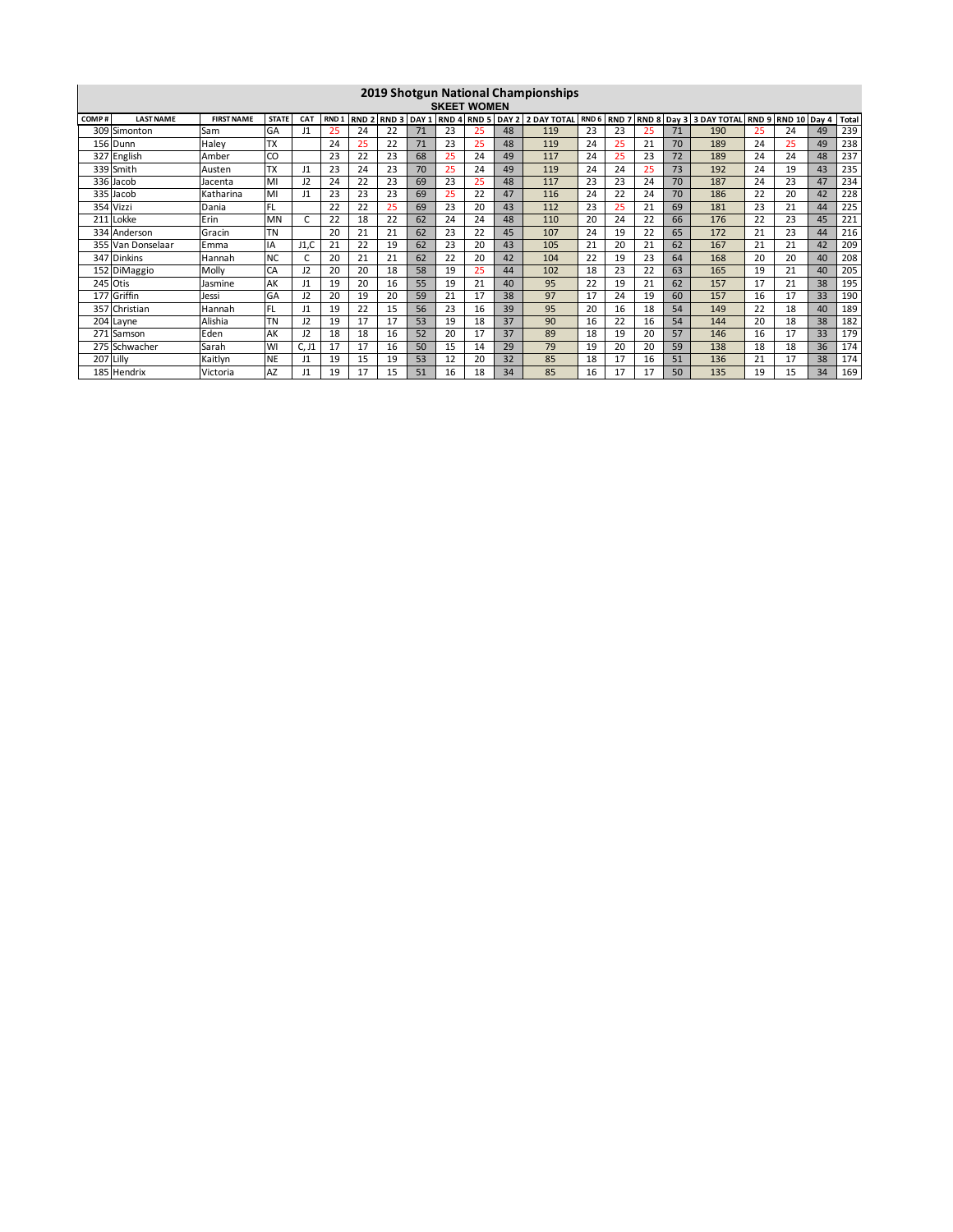|       |                                                                                                                                                                                                                                           |           |           |               |    |    |    |    |    |    |    | 2019 Shotgun National Championships |    |    |    |       |     |    |    |    |     |
|-------|-------------------------------------------------------------------------------------------------------------------------------------------------------------------------------------------------------------------------------------------|-----------|-----------|---------------|----|----|----|----|----|----|----|-------------------------------------|----|----|----|-------|-----|----|----|----|-----|
|       | <b>SKEET WOMEN</b>                                                                                                                                                                                                                        |           |           |               |    |    |    |    |    |    |    |                                     |    |    |    |       |     |    |    |    |     |
| COMP# | RND 7 RND 8 Day 3 3 DAY TOTAL RND 9<br><b>FIRST NAME</b><br>RND 4 RND 5 DAY 2 2 DAY TOTAL<br>RND <sub>6</sub><br><b>LAST NAME</b><br><b>STATE</b><br>RND <sub>1</sub><br>RND <sub>2</sub><br>RND 3 DAY 1<br>RND 10 Day<br><b>CAT</b><br>4 |           |           |               |    |    |    |    |    |    |    |                                     |    |    |    | Total |     |    |    |    |     |
| 309   | Simonton                                                                                                                                                                                                                                  | Sam       | GA        | J1            | 25 | 24 | 22 | 71 | 23 | 25 | 48 | 119                                 | 23 | 23 | 25 | 71    | 190 | 25 | 24 | 49 | 239 |
|       | 156 Dunn                                                                                                                                                                                                                                  | Haley     | 'TX       |               | 24 | 25 | 22 | 71 | 23 | 25 | 48 | 119                                 | 24 | 25 | 21 | 70    | 189 | 24 | 25 | 49 | 238 |
|       | 327 English                                                                                                                                                                                                                               | Amber     | CO        |               | 23 | 22 | 23 | 68 | 25 | 24 | 49 | 117                                 | 24 | 25 | 23 | 72    | 189 | 24 | 24 | 48 | 237 |
|       | 339 Smith                                                                                                                                                                                                                                 | Austen    | <b>TX</b> | 11            | 23 | 24 | 23 | 70 | 25 | 24 | 49 | 119                                 | 24 | 24 | 25 | 73    | 192 | 24 | 19 | 43 | 235 |
|       | 336 Jacob                                                                                                                                                                                                                                 | Jacenta   | MI        | J2            | 24 | 22 | 23 | 69 | 23 | 25 | 48 | 117                                 | 23 | 23 | 24 | 70    | 187 | 24 | 23 | 47 | 234 |
|       | 335 Jacob                                                                                                                                                                                                                                 | Katharina | MI        | $\mathbf{11}$ | 23 | 23 | 23 | 69 | 25 | 22 | 47 | 116                                 | 24 | 22 | 24 | 70    | 186 | 22 | 20 | 42 | 228 |
|       | 354 Vizzi                                                                                                                                                                                                                                 | Dania     | <b>FL</b> |               | 22 | 22 | 25 | 69 | 23 | 20 | 43 | 112                                 | 23 | 25 | 21 | 69    | 181 | 23 | 21 | 44 | 225 |
|       | 211 Lokke                                                                                                                                                                                                                                 | Erin      | MN        |               | 22 | 18 | 22 | 62 | 24 | 24 | 48 | 110                                 | 20 | 24 | 22 | 66    | 176 | 22 | 23 | 45 | 221 |
|       | 334 Anderson                                                                                                                                                                                                                              | Gracin    | <b>TN</b> |               | 20 | 21 | 21 | 62 | 23 | 22 | 45 | 107                                 | 24 | 19 | 22 | 65    | 172 | 21 | 23 | 44 | 216 |
|       | 355 Van Donselaar                                                                                                                                                                                                                         | Emma      | <b>IA</b> | J1,C          | 21 | 22 | 19 | 62 | 23 | 20 | 43 | 105                                 | 21 | 20 | 21 | 62    | 167 | 21 | 21 | 42 | 209 |
|       | 347 Dinkins                                                                                                                                                                                                                               | Hannah    | <b>NC</b> |               | 20 | 21 | 21 | 62 | 22 | 20 | 42 | 104                                 | 22 | 19 | 23 | 64    | 168 | 20 | 20 | 40 | 208 |
|       | 152 DiMaggio                                                                                                                                                                                                                              | Molly     | CA        | J2            | 20 | 20 | 18 | 58 | 19 | 25 | 44 | 102                                 | 18 | 23 | 22 | 63    | 165 | 19 | 21 | 40 | 205 |
|       | 245 Otis                                                                                                                                                                                                                                  | Jasmine   | AK        | J1            | 19 | 20 | 16 | 55 | 19 | 21 | 40 | 95                                  | 22 | 19 | 21 | 62    | 157 | 17 | 21 | 38 | 195 |
| 177   | Griffin                                                                                                                                                                                                                                   | Jessi     | GA        | 12            | 20 | 19 | 20 | 59 | 21 | 17 | 38 | 97                                  | 17 | 24 | 19 | 60    | 157 | 16 | 17 | 33 | 190 |
| 357   | Christian                                                                                                                                                                                                                                 | Hannah    | <b>FL</b> | J1            | 19 | 22 | 15 | 56 | 23 | 16 | 39 | 95                                  | 20 | 16 | 18 | 54    | 149 | 22 | 18 | 40 | 189 |
|       | 204 Layne                                                                                                                                                                                                                                 | Alishia   | TN        | J2            | 19 | 17 | 17 | 53 | 19 | 18 | 37 | 90                                  | 16 | 22 | 16 | 54    | 144 | 20 | 18 | 38 | 182 |
|       | 271 Samson                                                                                                                                                                                                                                | Eden      | AK        | J2            | 18 | 18 | 16 | 52 | 20 | 17 | 37 | 89                                  | 18 | 19 | 20 | 57    | 146 | 16 | 17 | 33 | 179 |
|       | 275 Schwacher                                                                                                                                                                                                                             | Sarah     | WI        | C, J1         | 17 | 17 | 16 | 50 | 15 | 14 | 29 | 79                                  | 19 | 20 | 20 | 59    | 138 | 18 | 18 | 36 | 174 |
| 207   | Lilly                                                                                                                                                                                                                                     | Kaitlyn   | <b>NE</b> | J1            | 19 | 15 | 19 | 53 | 12 | 20 | 32 | 85                                  | 18 | 17 | 16 | 51    | 136 | 21 | 17 | 38 | 174 |
|       | 185 Hendrix                                                                                                                                                                                                                               | Victoria  | <b>AZ</b> |               | 19 | 17 | 15 | 51 | 16 | 18 | 34 | 85                                  | 16 | 17 | 17 | 50    | 135 | 19 | 15 | 34 | 169 |